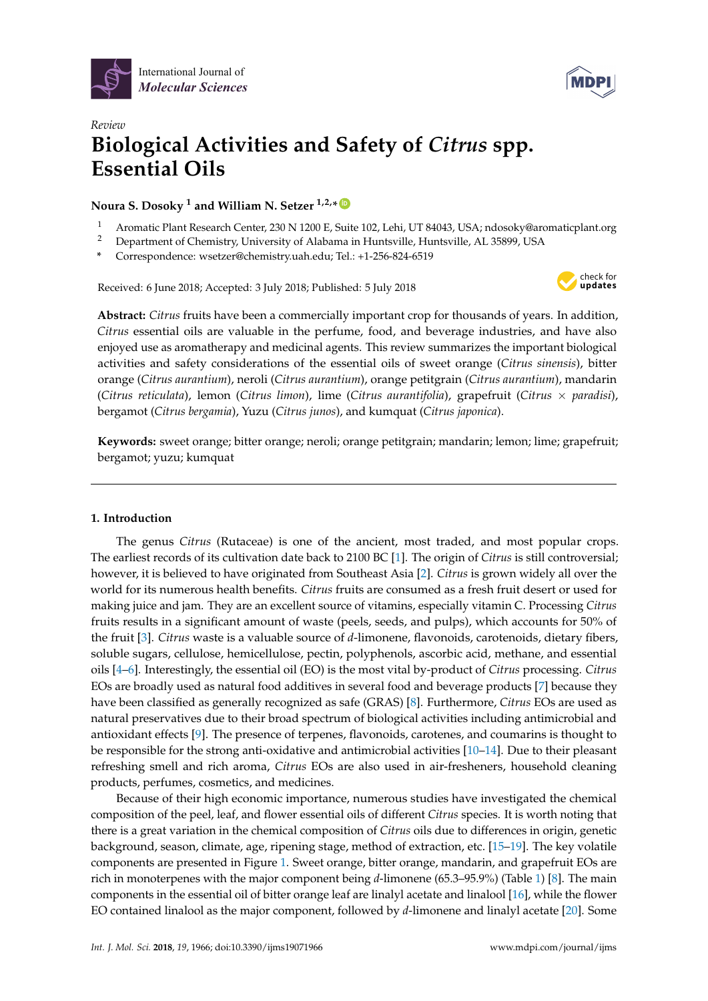



# *Review* **Biological Activities and Safety of** *Citrus* **spp. Essential Oils**

# $\blacksquare$  Noura S. Dosoky  $^1$  and William N. Setzer  $^{1,2,*}$   $\blacksquare$

- <sup>1</sup> Aromatic Plant Research Center, 230 N 1200 E, Suite 102, Lehi, UT 84043, USA; ndosoky@aromaticplant.org
- <sup>2</sup> Department of Chemistry, University of Alabama in Huntsville, Huntsville, AL 35899, USA
- **\*** Correspondence: wsetzer@chemistry.uah.edu; Tel.: +1-256-824-6519

Received: 6 June 2018; Accepted: 3 July 2018; Published: 5 July 2018



**Abstract:** *Citrus* fruits have been a commercially important crop for thousands of years. In addition, *Citrus* essential oils are valuable in the perfume, food, and beverage industries, and have also enjoyed use as aromatherapy and medicinal agents. This review summarizes the important biological activities and safety considerations of the essential oils of sweet orange (*Citrus sinensis*), bitter orange (*Citrus aurantium*), neroli (*Citrus aurantium*), orange petitgrain (*Citrus aurantium*), mandarin (*Citrus reticulata*), lemon (*Citrus limon*), lime (*Citrus aurantifolia*), grapefruit (*Citrus* × *paradisi*), bergamot (*Citrus bergamia*), Yuzu (*Citrus junos*), and kumquat (*Citrus japonica*).

**Keywords:** sweet orange; bitter orange; neroli; orange petitgrain; mandarin; lemon; lime; grapefruit; bergamot; yuzu; kumquat

# **1. Introduction**

The genus *Citrus* (Rutaceae) is one of the ancient, most traded, and most popular crops. The earliest records of its cultivation date back to 2100 BC [\[1\]](#page-15-0). The origin of *Citrus* is still controversial; however, it is believed to have originated from Southeast Asia [\[2\]](#page-15-1). *Citrus* is grown widely all over the world for its numerous health benefits. *Citrus* fruits are consumed as a fresh fruit desert or used for making juice and jam. They are an excellent source of vitamins, especially vitamin C. Processing *Citrus* fruits results in a significant amount of waste (peels, seeds, and pulps), which accounts for 50% of the fruit [\[3\]](#page-15-2). *Citrus* waste is a valuable source of *d*-limonene, flavonoids, carotenoids, dietary fibers, soluble sugars, cellulose, hemicellulose, pectin, polyphenols, ascorbic acid, methane, and essential oils [\[4–](#page-15-3)[6\]](#page-15-4). Interestingly, the essential oil (EO) is the most vital by-product of *Citrus* processing. *Citrus* EOs are broadly used as natural food additives in several food and beverage products [\[7\]](#page-15-5) because they have been classified as generally recognized as safe (GRAS) [\[8\]](#page-15-6). Furthermore, *Citrus* EOs are used as natural preservatives due to their broad spectrum of biological activities including antimicrobial and antioxidant effects [\[9\]](#page-15-7). The presence of terpenes, flavonoids, carotenes, and coumarins is thought to be responsible for the strong anti-oxidative and antimicrobial activities [\[10–](#page-15-8)[14\]](#page-15-9). Due to their pleasant refreshing smell and rich aroma, *Citrus* EOs are also used in air-fresheners, household cleaning products, perfumes, cosmetics, and medicines.

Because of their high economic importance, numerous studies have investigated the chemical composition of the peel, leaf, and flower essential oils of different *Citrus* species. It is worth noting that there is a great variation in the chemical composition of *Citrus* oils due to differences in origin, genetic background, season, climate, age, ripening stage, method of extraction, etc. [\[15](#page-16-0)[–19\]](#page-16-1). The key volatile components are presented in Figure [1.](#page-1-0) Sweet orange, bitter orange, mandarin, and grapefruit EOs are rich in monoterpenes with the major component being *d*-limonene (65.3–95.9%) (Table [1\)](#page-2-0) [\[8\]](#page-15-6). The main components in the essential oil of bitter orange leaf are linalyl acetate and linalool [\[16\]](#page-16-2), while the flower EO contained linalool as the major component, followed by *d*-limonene and linalyl acetate [\[20\]](#page-16-3). Some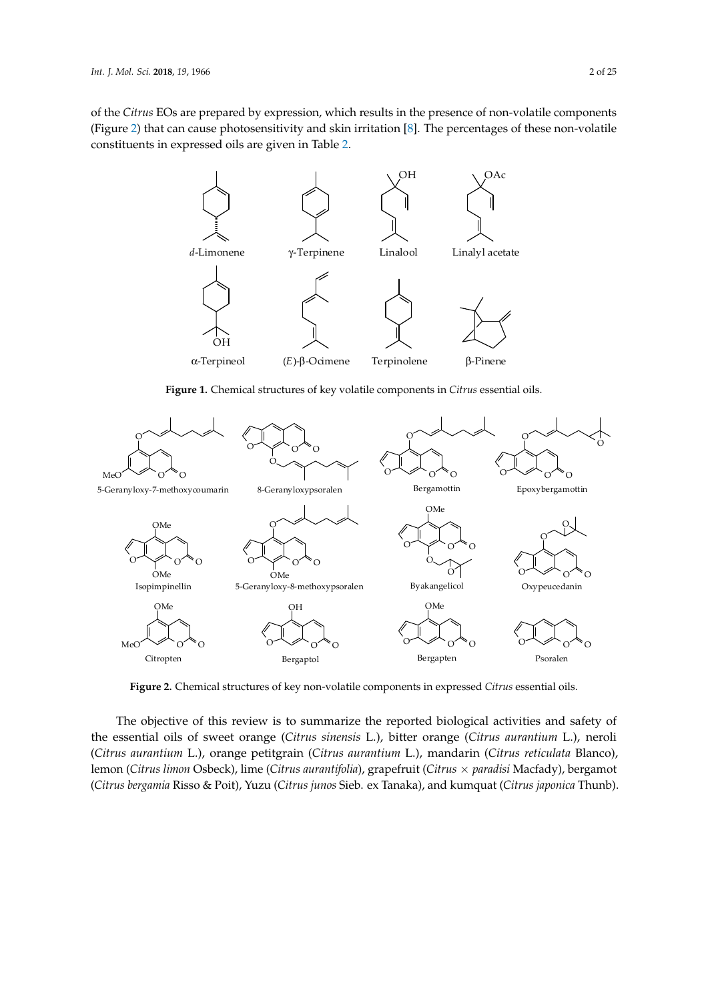of the *Citrus* EOs are prepared by expression, which results in the presence of non-volatile components of the choice Los the prepared by expression, which results in the presence of non-volatile components (Figure [2\)](#page-1-1) that can cause photosensitivity and skin irritation [\[8\]](#page-15-6). The percentages of these non-volatile constituents in expressed oils are given in Table 2. acetate [20]. Some of the *Citrus* EOs are prepared by expression, which results in the presence of non-*If the Citrus EOs are prepared by expression, which results in the presence of non-volatile component* 

<span id="page-1-0"></span>

Figure 1. Chemical structures of key volatile components in Citrus essential oils.

<span id="page-1-1"></span>

dies of key non volume components in expressed change  $\sum_{i=1}^{n}$ **Figure 2.** Chemical structures of key non-volatile components in expressed *Citrus* essential oils. **Figure 2.** Chemical structures of key non-volatile components in expressed *Citrus* essential oils.

the essential oils of sweet orange (Citrus sinensis L.), bitter orange (Citrus aurantium L.), neroli The objective of the objective interest the manufacture of the reported biological and safety is to support the reported biological and safety of the reported by the reported biological and safety of the reported biologica essential oils of sweet orange (*Citrus sinensis* L.), bitter orange (*Citrus aurantium* L.), neroli (*Citrus*  Citropten Bergaptol Bergapten Psoralen The objective of this review is to summarize the reported biological activities and safety of the The objective of this review is to summarize the reported biological activities and safety of this review is to summarize the reported biological activities and safety of (Citrus aurantium L.), orange petitgrain (Citrus aurantium L.), mandarin (Citrus reticulata Blanco), lemon (Citrus limon Osbeck), lime (Citrus aurantifolia), grapefruit (Citrus  $\times$  paradisi Macfady), bergamot Thunb). (*Citrus bergamia* Risso & Poit), Yuzu (*Citrus junos* Sieb. ex Tanaka), and kumquat (*Citrus japonica* Thunb).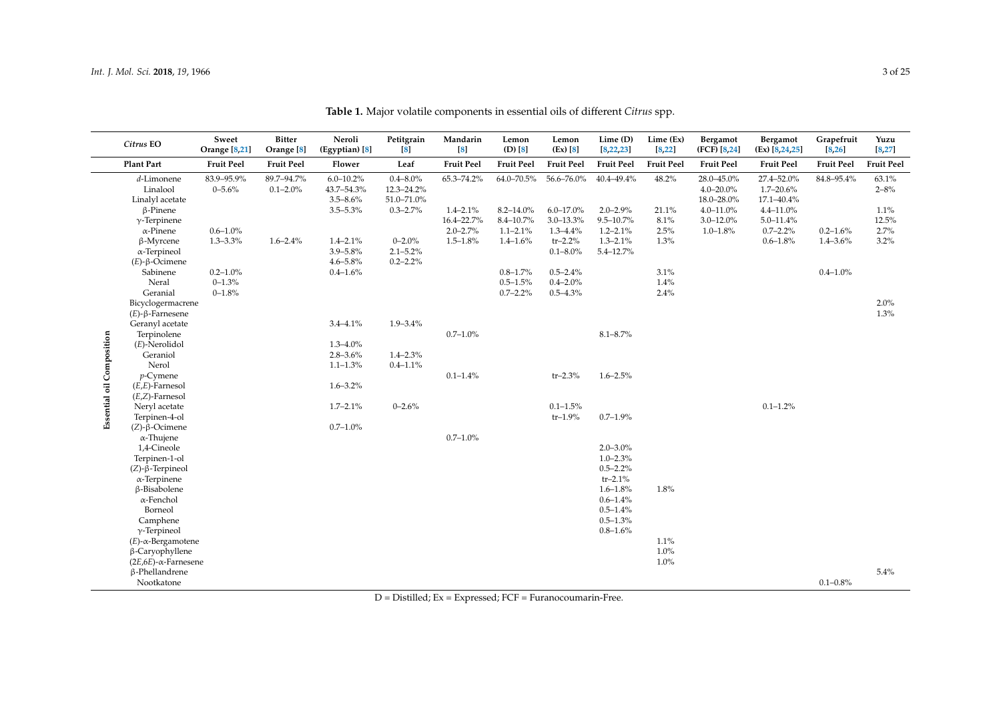<span id="page-2-0"></span>

|                           | Citrus EO                                 | Sweet<br><b>Orange</b> [8,21] | <b>Bitter</b><br>Orange <sup>[8]</sup> | Neroli<br>(Egyptian) [8]                     | Petitgrain<br>$\lceil 8 \rceil$           | Mandarin<br>$\left[ 8 \right]$ | Lemon<br>$(D)$ $[8]$ | Lemon<br>(EX) [8] | $Lime$ (D)<br>[8, 22, 23] | Lime (Ex)<br>[8, 22] | Bergamot<br>(FCF) [8,24]                   | Bergamot<br>$\left( \text{Ex} \right)$ $\left[ 8, 24, 25 \right]$ | Grapefruit<br>[8, 26] | Yuzu<br>[8, 27]   |
|---------------------------|-------------------------------------------|-------------------------------|----------------------------------------|----------------------------------------------|-------------------------------------------|--------------------------------|----------------------|-------------------|---------------------------|----------------------|--------------------------------------------|-------------------------------------------------------------------|-----------------------|-------------------|
|                           | <b>Plant Part</b>                         | <b>Fruit Peel</b>             | <b>Fruit Peel</b>                      | Flower                                       | Leaf                                      | <b>Fruit Peel</b>              | <b>Fruit Peel</b>    | <b>Fruit Peel</b> | <b>Fruit Peel</b>         | <b>Fruit Peel</b>    | <b>Fruit Peel</b>                          | <b>Fruit Peel</b>                                                 | <b>Fruit Peel</b>     | <b>Fruit Peel</b> |
|                           | d-Limonene<br>Linalool<br>Linalyl acetate | 83.9-95.9%<br>$0 - 5.6%$      | 89.7-94.7%<br>$0.1 - 2.0\%$            | $6.0 - 10.2\%$<br>43.7-54.3%<br>$3.5 - 8.6%$ | $0.4 - 8.0\%$<br>12.3-24.2%<br>51.0-71.0% | 65.3-74.2%                     | 64.0-70.5%           | 56.6-76.0%        | $40.4 - 49.4%$            | 48.2%                | 28.0-45.0%<br>$4.0 - 20.0\%$<br>18.0-28.0% | 27.4-52.0%<br>$1.7 - 20.6\%$<br>17.1-40.4%                        | 84.8-95.4%            | 63.1%<br>$2 - 8%$ |
|                           | $\beta$ -Pinene                           |                               |                                        | $3.5 - 5.3\%$                                | $0.3 - 2.7\%$                             | $1.4 - 2.1\%$                  | $8.2 - 14.0\%$       | $6.0 - 17.0\%$    | $2.0 - 2.9\%$             | 21.1%                | $4.0 - 11.0%$                              | $4.4 - 11.0%$                                                     |                       | 1.1%              |
|                           | $\gamma$ -Terpinene                       |                               |                                        |                                              |                                           | 16.4-22.7%                     | $8.4 - 10.7%$        | $3.0 - 13.3\%$    | $9.5 - 10.7\%$            | 8.1%                 | $3.0 - 12.0\%$                             | $5.0 - 11.4\%$                                                    |                       | 12.5%             |
|                           | $\alpha$ -Pinene                          | $0.6 - 1.0\%$                 |                                        |                                              |                                           | $2.0 - 2.7%$                   | $1.1 - 2.1\%$        | $1.3 - 4.4\%$     | $1.2 - 2.1\%$             | 2.5%                 | $1.0 - 1.8\%$                              | $0.7 - 2.2\%$                                                     | $0.2 - 1.6\%$         | 2.7%              |
|                           | β-Myrcene                                 | $1.3 - 3.3\%$                 | $1.6 - 2.4\%$                          | $1.4 - 2.1\%$                                | $0 - 2.0%$                                | $1.5 - 1.8\%$                  | $1.4 - 1.6%$         | $tr-2.2%$         | $1.3 - 2.1\%$             | 1.3%                 |                                            | $0.6 - 1.8\%$                                                     | $1.4 - 3.6\%$         | 3.2%              |
|                           | $\alpha$ -Terpineol                       |                               |                                        | $3.9 - 5.8\%$                                | $2.1 - 5.2\%$                             |                                |                      | $0.1 - 8.0\%$     | $5.4 - 12.7%$             |                      |                                            |                                                                   |                       |                   |
|                           | $(E)$ - $\beta$ -Ocimene                  |                               |                                        | $4.6 - 5.8%$                                 | $0.2 - 2.2\%$                             |                                |                      |                   |                           |                      |                                            |                                                                   |                       |                   |
|                           | Sabinene                                  | $0.2 - 1.0\%$                 |                                        | $0.4 - 1.6\%$                                |                                           |                                | $0.8 - 1.7\%$        | $0.5 - 2.4\%$     |                           | 3.1%                 |                                            |                                                                   | $0.4 - 1.0\%$         |                   |
|                           | Neral<br>Geranial                         | $0 - 1.3%$                    |                                        |                                              |                                           |                                | $0.5 - 1.5\%$        | $0.4 - 2.0\%$     |                           | 1.4%                 |                                            |                                                                   |                       |                   |
|                           |                                           | $0 - 1.8%$                    |                                        |                                              |                                           |                                | $0.7 - 2.2\%$        | $0.5 - 4.3\%$     |                           | 2.4%                 |                                            |                                                                   |                       | 2.0%              |
|                           | Bicyclogermacrene<br>$(E)$ -β-Farnesene   |                               |                                        |                                              |                                           |                                |                      |                   |                           |                      |                                            |                                                                   |                       | 1.3%              |
|                           | Geranyl acetate                           |                               |                                        | $3.4 - 4.1\%$                                | $1.9 - 3.4\%$                             |                                |                      |                   |                           |                      |                                            |                                                                   |                       |                   |
|                           | Terpinolene                               |                               |                                        |                                              |                                           | $0.7 - 1.0\%$                  |                      |                   | $8.1 - 8.7\%$             |                      |                                            |                                                                   |                       |                   |
|                           | $(E)$ -Nerolidol                          |                               |                                        | $1.3 - 4.0\%$                                |                                           |                                |                      |                   |                           |                      |                                            |                                                                   |                       |                   |
|                           | Geraniol                                  |                               |                                        | $2.8 - 3.6%$                                 | $1.4 - 2.3%$                              |                                |                      |                   |                           |                      |                                            |                                                                   |                       |                   |
|                           | Nerol                                     |                               |                                        | $1.1 - 1.3\%$                                | $0.4 - 1.1\%$                             |                                |                      |                   |                           |                      |                                            |                                                                   |                       |                   |
|                           | $p$ -Cymene                               |                               |                                        |                                              |                                           | $0.1 - 1.4\%$                  |                      | $tr - 2.3%$       | $1.6 - 2.5\%$             |                      |                                            |                                                                   |                       |                   |
|                           | $(E,E)$ -Farnesol                         |                               |                                        | $1.6 - 3.2\%$                                |                                           |                                |                      |                   |                           |                      |                                            |                                                                   |                       |                   |
|                           | $(E,Z)$ -Farnesol                         |                               |                                        |                                              |                                           |                                |                      |                   |                           |                      |                                            |                                                                   |                       |                   |
| Essential oil Composition | Neryl acetate                             |                               |                                        | $1.7 - 2.1\%$                                | $0 - 2.6%$                                |                                |                      | $0.1 - 1.5\%$     |                           |                      |                                            | $0.1 - 1.2\%$                                                     |                       |                   |
|                           | Terpinen-4-ol                             |                               |                                        |                                              |                                           |                                |                      | $tr-1.9%$         | $0.7 - 1.9\%$             |                      |                                            |                                                                   |                       |                   |
|                           | $(Z)$ - $\beta$ -Ocimene                  |                               |                                        | $0.7 - 1.0\%$                                |                                           |                                |                      |                   |                           |                      |                                            |                                                                   |                       |                   |
|                           | $\alpha$ -Thujene                         |                               |                                        |                                              |                                           | $0.7 - 1.0\%$                  |                      |                   |                           |                      |                                            |                                                                   |                       |                   |
|                           | 1,4-Cineole                               |                               |                                        |                                              |                                           |                                |                      |                   | $2.0 - 3.0\%$             |                      |                                            |                                                                   |                       |                   |
|                           | Terpinen-1-ol                             |                               |                                        |                                              |                                           |                                |                      |                   | $1.0 - 2.3\%$             |                      |                                            |                                                                   |                       |                   |
|                           | $(Z)$ - $\beta$ -Terpineol                |                               |                                        |                                              |                                           |                                |                      |                   | $0.5 - 2.2%$              |                      |                                            |                                                                   |                       |                   |
|                           | $\alpha$ -Terpinene                       |                               |                                        |                                              |                                           |                                |                      |                   | $tr-2.1%$                 |                      |                                            |                                                                   |                       |                   |
|                           | β-Bisabolene                              |                               |                                        |                                              |                                           |                                |                      |                   | $1.6 - 1.8%$              | 1.8%                 |                                            |                                                                   |                       |                   |
|                           | α-Fenchol                                 |                               |                                        |                                              |                                           |                                |                      |                   | $0.6 - 1.4\%$             |                      |                                            |                                                                   |                       |                   |
|                           | Borneol                                   |                               |                                        |                                              |                                           |                                |                      |                   | $0.5 - 1.4\%$             |                      |                                            |                                                                   |                       |                   |
|                           | Camphene                                  |                               |                                        |                                              |                                           |                                |                      |                   | $0.5 - 1.3\%$             |                      |                                            |                                                                   |                       |                   |
|                           | $\gamma$ -Terpineol                       |                               |                                        |                                              |                                           |                                |                      |                   | $0.8 - 1.6%$              |                      |                                            |                                                                   |                       |                   |
|                           | $(E)$ - $\alpha$ -Bergamotene             |                               |                                        |                                              |                                           |                                |                      |                   |                           | 1.1%                 |                                            |                                                                   |                       |                   |
|                           | $\beta$ -Caryophyllene                    |                               |                                        |                                              |                                           |                                |                      |                   |                           | 1.0%                 |                                            |                                                                   |                       |                   |
|                           | $(2E,6E)$ - $\alpha$ -Farnesene           |                               |                                        |                                              |                                           |                                |                      |                   |                           | $1.0\%$              |                                            |                                                                   |                       |                   |
|                           | β-Phellandrene                            |                               |                                        |                                              |                                           |                                |                      |                   |                           |                      |                                            |                                                                   |                       | 5.4%              |
|                           | Nootkatone                                |                               |                                        |                                              |                                           |                                |                      |                   |                           |                      |                                            |                                                                   | $0.1 - 0.8\%$         |                   |

**Table 1.** Major volatile components in essential oils of different *Citrus* spp.

D = Distilled; Ex = Expressed; FCF = Furanocoumarin-Free.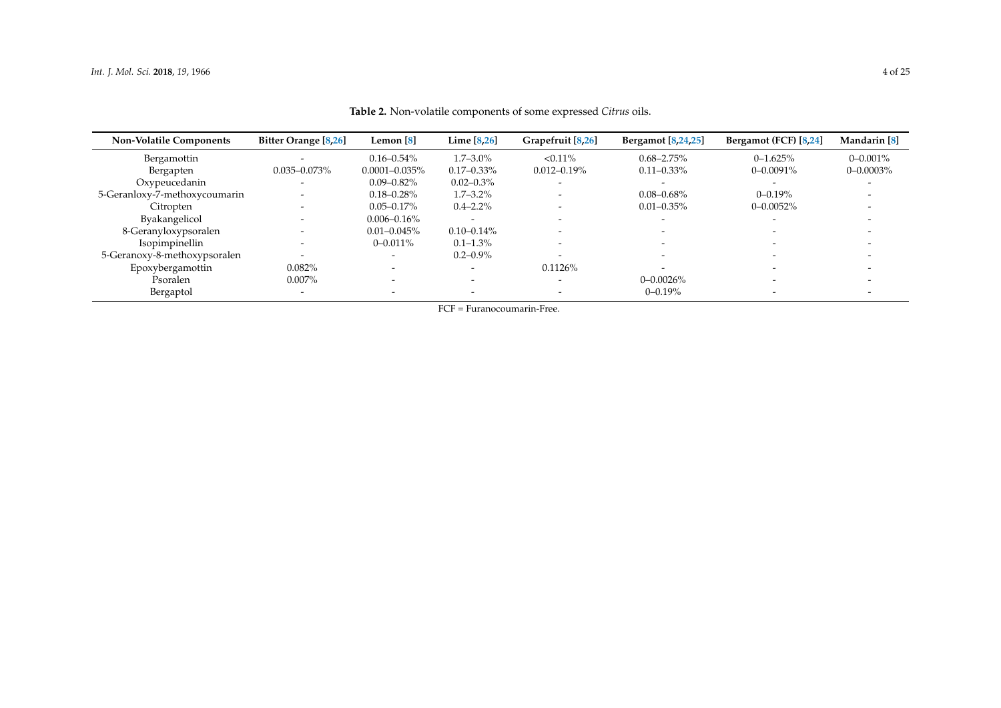<span id="page-3-0"></span>

| <b>Non-Volatile Components</b> | <b>Bitter Orange</b> [8,26] | Lemon $[8]$        | Lime [8,26]     | Grapefruit [8,26] | <b>Bergamot</b> [8,24,25] | Bergamot (FCF) [8,24] | Mandarin <sup>[8]</sup> |
|--------------------------------|-----------------------------|--------------------|-----------------|-------------------|---------------------------|-----------------------|-------------------------|
| Bergamottin                    |                             | $0.16 - 0.54\%$    | $1.7 - 3.0\%$   | $< 0.11\%$        | $0.68 - 2.75\%$           | $0 - 1.625%$          | $0 - 0.001\%$           |
| Bergapten                      | $0.035 - 0.073\%$           | $0.0001 - 0.035\%$ | $0.17 - 0.33\%$ | $0.012 - 0.19\%$  | $0.11 - 0.33\%$           | $0 - 0.0091\%$        | $0 - 0.0003\%$          |
| Oxypeucedanin                  |                             | $0.09 - 0.82\%$    | $0.02 - 0.3\%$  |                   |                           |                       |                         |
| 5-Geranloxy-7-methoxycoumarin  |                             | $0.18 - 0.28\%$    | $1.7 - 3.2\%$   |                   | $0.08 - 0.68\%$           | $0 - 0.19%$           |                         |
| Citropten                      |                             | $0.05 - 0.17\%$    | $0.4 - 2.2\%$   |                   | $0.01 - 0.35\%$           | $0 - 0.0052%$         |                         |
| <b>Byakangelicol</b>           |                             | $0.006 - 0.16\%$   |                 |                   | $\overline{\phantom{0}}$  |                       |                         |
| 8-Geranyloxypsoralen           |                             | $0.01 - 0.045\%$   | $0.10 - 0.14\%$ |                   | $\overline{\phantom{0}}$  |                       |                         |
| Isopimpinellin                 | $\overline{\phantom{0}}$    | $0 - 0.011\%$      | $0.1 - 1.3\%$   |                   | $\overline{\phantom{0}}$  |                       |                         |
| 5-Geranoxy-8-methoxypsoralen   |                             |                    | $0.2 - 0.9\%$   |                   |                           |                       |                         |
| Epoxybergamottin               | 0.082%                      |                    |                 | 0.1126%           | $\overline{\phantom{0}}$  |                       |                         |
| Psoralen                       | $0.007\%$                   |                    |                 |                   | $0 - 0.0026\%$            |                       |                         |
| Bergaptol                      |                             |                    |                 |                   | $0 - 0.19%$               |                       |                         |

**Table 2.** Non-volatile components of some expressed *Citrus* oils.

FCF = Furanocoumarin-Free.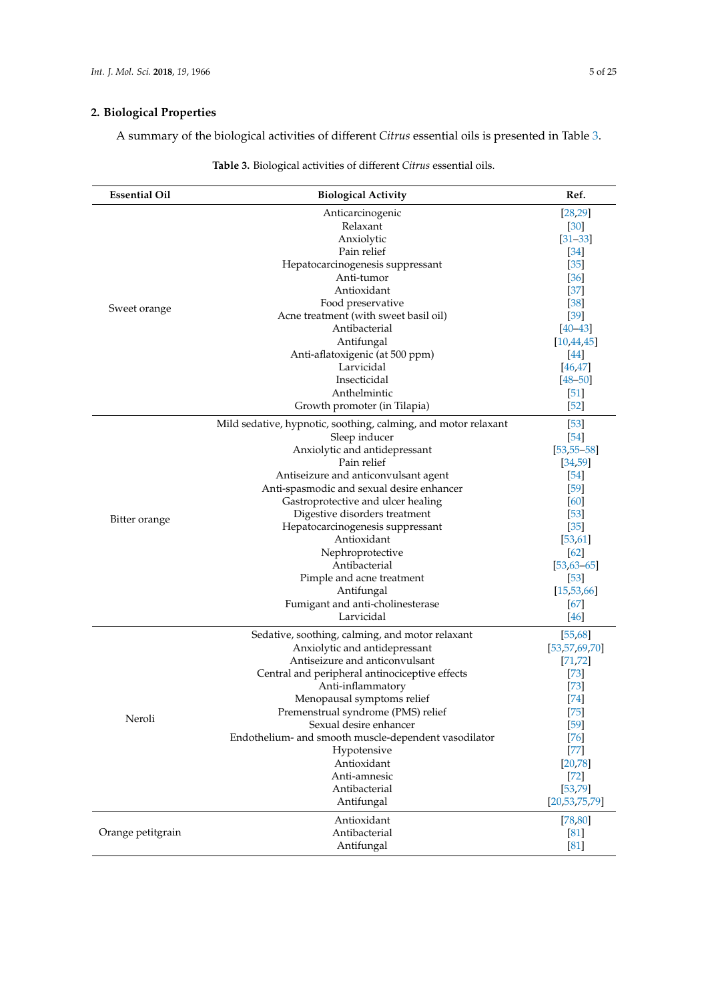# **2. Biological Properties**

A summary of the biological activities of different *Citrus* essential oils is presented in Table [3.](#page-6-0)

| <b>Essential Oil</b> | <b>Biological Activity</b>                                     | Ref.              |
|----------------------|----------------------------------------------------------------|-------------------|
|                      | Anticarcinogenic                                               | [28, 29]          |
|                      | Relaxant                                                       | [30]              |
|                      | Anxiolytic                                                     | $[31 - 33]$       |
|                      | Pain relief                                                    | $\left 34\right $ |
|                      | Hepatocarcinogenesis suppressant                               | $[35]$            |
|                      | Anti-tumor                                                     | $\left[36\right]$ |
|                      | Antioxidant                                                    | $[37]$            |
| Sweet orange         | Food preservative                                              | [38]              |
|                      | Acne treatment (with sweet basil oil)                          | $\left[39\right]$ |
|                      | Antibacterial                                                  | $[40 - 43]$       |
|                      | Antifungal                                                     | [10, 44, 45]      |
|                      | Anti-aflatoxigenic (at 500 ppm)                                | $[44]$            |
|                      | Larvicidal                                                     | 46,47             |
|                      | Insecticidal                                                   | $[48 - 50]$       |
|                      | Anthelmintic                                                   | $[51]$            |
|                      | Growth promoter (in Tilapia)                                   | $[52]$            |
|                      | Mild sedative, hypnotic, soothing, calming, and motor relaxant | $\left[53\right]$ |
|                      | Sleep inducer                                                  | $[54]$            |
|                      | Anxiolytic and antidepressant                                  | $[53, 55 - 58]$   |
|                      | Pain relief                                                    | [34, 59]          |
|                      | Antiseizure and anticonvulsant agent                           | $[54]$            |
|                      | Anti-spasmodic and sexual desire enhancer                      | $[59]$            |
|                      | Gastroprotective and ulcer healing                             | [60]              |
| Bitter orange        | Digestive disorders treatment                                  | $[53]$            |
|                      | Hepatocarcinogenesis suppressant                               | $[35]$            |
|                      | Antioxidant                                                    | [53, 61]          |
|                      | Nephroprotective                                               | $[62]$            |
|                      | Antibacterial                                                  | $[53, 63 - 65]$   |
|                      | Pimple and acne treatment                                      | $[53]$            |
|                      | Antifungal                                                     | [15, 53, 66]      |
|                      | Fumigant and anti-cholinesterase                               | [67]              |
|                      | Larvicidal                                                     | $[46]$            |
|                      | Sedative, soothing, calming, and motor relaxant                | [55,68]           |
|                      | Anxiolytic and antidepressant                                  | [53, 57, 69, 70]  |
|                      | Antiseizure and anticonvulsant                                 | [71, 72]          |
|                      | Central and peripheral antinociceptive effects                 | $[73]$            |
|                      | Anti-inflammatory                                              | $[73]$            |
|                      | Menopausal symptoms relief                                     | $[74]$            |
| Neroli               | Premenstrual syndrome (PMS) relief                             | $[75]$            |
|                      | Sexual desire enhancer                                         | $[59]$            |
|                      | Endothelium- and smooth muscle-dependent vasodilator           | $[76]$            |
|                      | Hypotensive                                                    | $[77]$            |
|                      | Antioxidant<br>Anti-amnesic                                    | [20, 78]          |
|                      | Antibacterial                                                  | $[72]$            |
|                      |                                                                | [53, 79]          |
|                      | Antifungal                                                     | [20, 53, 75, 79]  |
|                      | Antioxidant                                                    | [78, 80]          |
| Orange petitgrain    | Antibacterial                                                  | [81]              |
|                      | Antifungal                                                     | [81]              |

# **Table 3.** Biological activities of different *Citrus* essential oils.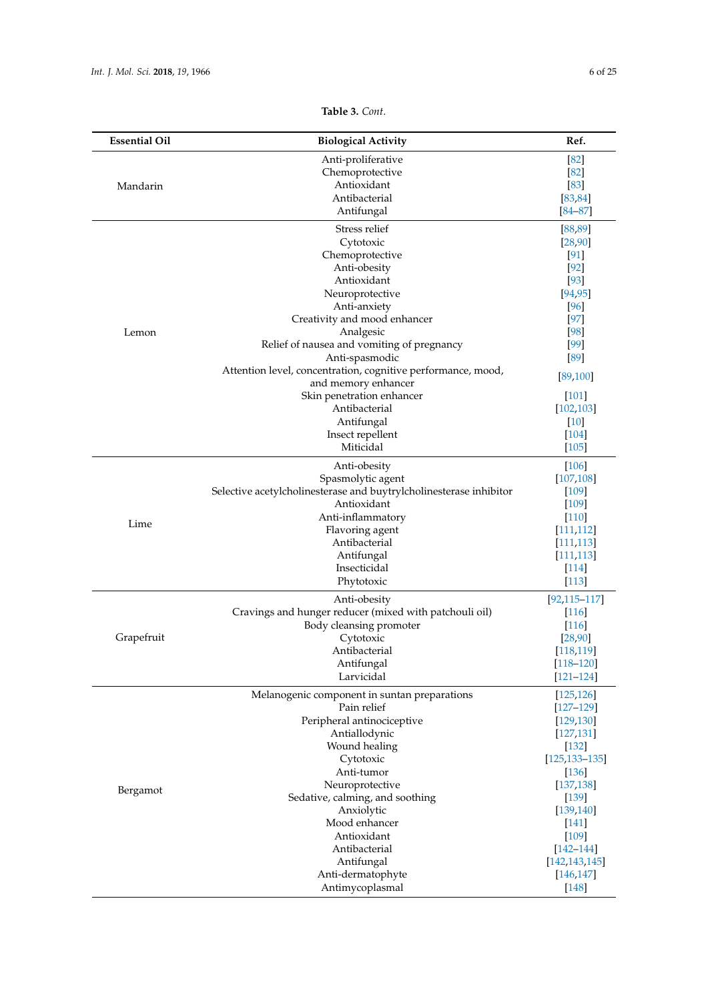| <b>Essential Oil</b> | <b>Biological Activity</b>                                         | Ref.               |
|----------------------|--------------------------------------------------------------------|--------------------|
|                      | Anti-proliferative                                                 | [82]               |
|                      | Chemoprotective                                                    | [82]               |
| Mandarin             | Antioxidant                                                        | [83]               |
|                      | Antibacterial                                                      | [83, 84]           |
|                      | Antifungal                                                         | $[84 - 87]$        |
|                      | Stress relief                                                      | [88, 89]           |
|                      | Cytotoxic                                                          | [28, 90]           |
|                      | Chemoprotective                                                    | $\left[91\right]$  |
|                      | Anti-obesity                                                       | $[92]$             |
|                      | Antioxidant                                                        | $[93]$             |
|                      | Neuroprotective                                                    | [94, 95]           |
|                      | Anti-anxiety                                                       | [96]               |
|                      | Creativity and mood enhancer                                       | $[97]$             |
| Lemon                | Analgesic                                                          | [98]               |
|                      | Relief of nausea and vomiting of pregnancy                         | [99]               |
|                      | Anti-spasmodic                                                     | [89]               |
|                      | Attention level, concentration, cognitive performance, mood,       | 89,100             |
|                      | and memory enhancer                                                |                    |
|                      | Skin penetration enhancer                                          | $[101]$            |
|                      | Antibacterial                                                      | [102, 103]         |
|                      | Antifungal                                                         | $[10]$             |
|                      | Insect repellent                                                   | $[104]$            |
|                      | Miticidal                                                          | $[105]$            |
|                      | Anti-obesity                                                       | $[106]$            |
|                      | Spasmolytic agent                                                  | [107, 108]         |
|                      | Selective acetylcholinesterase and buytrylcholinesterase inhibitor | $[109]$            |
|                      | Antioxidant                                                        | $[109]$            |
| Lime                 | Anti-inflammatory                                                  | $[110]$            |
|                      | Flavoring agent                                                    | [111, 112]         |
|                      | Antibacterial                                                      | [111, 113]         |
|                      | Antifungal                                                         | [111, 113]         |
|                      | Insecticidal                                                       | $[114]$            |
|                      | Phytotoxic                                                         | $[113]$            |
|                      | Anti-obesity                                                       | $[92, 115 - 117]$  |
|                      | Cravings and hunger reducer (mixed with patchouli oil)             | $[116]$            |
|                      | Body cleansing promoter                                            | $[116]$            |
| Grapefruit           | Cytotoxic                                                          | [28, 90]           |
|                      | Antibacterial                                                      | [118, 119]         |
|                      | Antifungal                                                         | $[118 - 120]$      |
|                      | Larvicidal                                                         | $[121 - 124]$      |
|                      | Melanogenic component in suntan preparations                       | [125, 126]         |
|                      | Pain relief                                                        | $[127 - 129]$      |
|                      | Peripheral antinociceptive                                         | [129, 130]         |
|                      | Antiallodynic                                                      | [127, 131]         |
|                      | Wound healing                                                      | $[132]$            |
|                      | Cytotoxic                                                          | $[125, 133 - 135]$ |
|                      | Anti-tumor                                                         | $[136]$            |
| Bergamot             | Neuroprotective                                                    | [137, 138]         |
|                      | Sedative, calming, and soothing                                    | $[139]$            |
|                      | Anxiolytic                                                         | [139, 140]         |
|                      | Mood enhancer                                                      | [141]              |
|                      | Antioxidant                                                        | $[109]$            |
|                      | Antibacterial                                                      | $[142 - 144]$      |
|                      | Antifungal                                                         | [142, 143, 145]    |
|                      | Anti-dermatophyte                                                  | [146, 147]         |
|                      | Antimycoplasmal                                                    | $[148]$            |

# **Table 3.** *Cont*.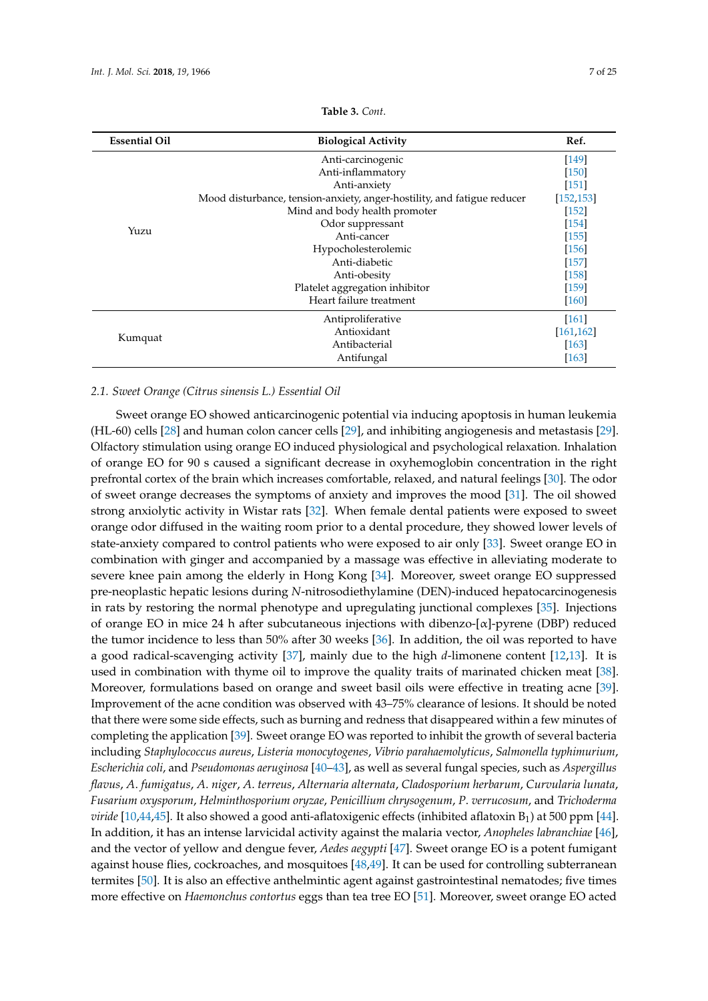<span id="page-6-0"></span>

| <b>Essential Oil</b> | <b>Biological Activity</b>                                              | Ref.                |
|----------------------|-------------------------------------------------------------------------|---------------------|
|                      | Anti-carcinogenic                                                       | $[149]$             |
|                      | Anti-inflammatory                                                       | $[150]$             |
|                      | Anti-anxiety                                                            | $[151]$             |
|                      | Mood disturbance, tension-anxiety, anger-hostility, and fatigue reducer | [152, 153]          |
|                      | Mind and body health promoter                                           | $[152]$             |
|                      | Odor suppressant                                                        | $[154]$             |
| Yuzu                 | Anti-cancer                                                             | $[155]$             |
|                      | Hypocholesterolemic                                                     | $[156]$             |
|                      | Anti-diabetic                                                           | $[157]$             |
|                      | Anti-obesity                                                            | $[158]$             |
|                      | Platelet aggregation inhibitor                                          | $[159]$             |
|                      | Heart failure treatment                                                 | $\sqrt{160}$        |
|                      | Antiproliferative                                                       | $[161]$             |
|                      | Antioxidant                                                             | [161, 162]          |
| Kumquat              | Antibacterial                                                           | $\lceil 163 \rceil$ |
|                      | Antifungal                                                              | $\lceil 163 \rceil$ |

# **Table 3.** *Cont*.

## *2.1. Sweet Orange (Citrus sinensis L.) Essential Oil*

Sweet orange EO showed anticarcinogenic potential via inducing apoptosis in human leukemia (HL-60) cells [\[28\]](#page-16-11) and human colon cancer cells [\[29\]](#page-16-12), and inhibiting angiogenesis and metastasis [\[29\]](#page-16-12). Olfactory stimulation using orange EO induced physiological and psychological relaxation. Inhalation of orange EO for 90 s caused a significant decrease in oxyhemoglobin concentration in the right prefrontal cortex of the brain which increases comfortable, relaxed, and natural feelings [\[30\]](#page-16-13). The odor of sweet orange decreases the symptoms of anxiety and improves the mood [\[31\]](#page-16-14). The oil showed strong anxiolytic activity in Wistar rats [\[32\]](#page-16-19). When female dental patients were exposed to sweet orange odor diffused in the waiting room prior to a dental procedure, they showed lower levels of state-anxiety compared to control patients who were exposed to air only [\[33\]](#page-16-15). Sweet orange EO in combination with ginger and accompanied by a massage was effective in alleviating moderate to severe knee pain among the elderly in Hong Kong [\[34\]](#page-16-16). Moreover, sweet orange EO suppressed pre-neoplastic hepatic lesions during *N*-nitrosodiethylamine (DEN)-induced hepatocarcinogenesis in rats by restoring the normal phenotype and upregulating junctional complexes [\[35\]](#page-16-17). Injections of orange EO in mice 24 h after subcutaneous injections with dibenzo-[α]-pyrene (DBP) reduced the tumor incidence to less than 50% after 30 weeks [\[36\]](#page-16-18). In addition, the oil was reported to have a good radical-scavenging activity [\[37\]](#page-17-0), mainly due to the high *d*-limonene content [\[12,](#page-15-11)[13\]](#page-15-12). It is used in combination with thyme oil to improve the quality traits of marinated chicken meat [\[38\]](#page-17-1). Moreover, formulations based on orange and sweet basil oils were effective in treating acne [\[39\]](#page-17-2). Improvement of the acne condition was observed with 43–75% clearance of lesions. It should be noted that there were some side effects, such as burning and redness that disappeared within a few minutes of completing the application [\[39\]](#page-17-2). Sweet orange EO was reported to inhibit the growth of several bacteria including *Staphylococcus aureus*, *Listeria monocytogenes*, *Vibrio parahaemolyticus*, *Salmonella typhimurium*, *Escherichia coli*, and *Pseudomonas aeruginosa* [\[40–](#page-17-3)[43\]](#page-17-4), as well as several fungal species, such as *Aspergillus flavus*, *A*. *fumigatus*, *A*. *niger*, *A*. *terreus*, *Alternaria alternata*, *Cladosporium herbarum*, *Curvularia lunata*, *Fusarium oxysporum*, *Helminthosporium oryzae*, *Penicillium chrysogenum*, *P*. *verrucosum*, and *Trichoderma viride* [\[10](#page-15-8)[,44,](#page-17-5)[45\]](#page-17-6). It also showed a good anti-aflatoxigenic effects (inhibited aflatoxin B<sub>1</sub>) at 500 ppm [\[44\]](#page-17-5). In addition, it has an intense larvicidal activity against the malaria vector, *Anopheles labranchiae* [\[46\]](#page-17-7), and the vector of yellow and dengue fever, *Aedes aegypti* [\[47\]](#page-17-8). Sweet orange EO is a potent fumigant against house flies, cockroaches, and mosquitoes [\[48,](#page-17-9)[49\]](#page-17-17). It can be used for controlling subterranean termites [\[50\]](#page-17-10). It is also an effective anthelmintic agent against gastrointestinal nematodes; five times more effective on *Haemonchus contortus* eggs than tea tree EO [\[51\]](#page-17-11). Moreover, sweet orange EO acted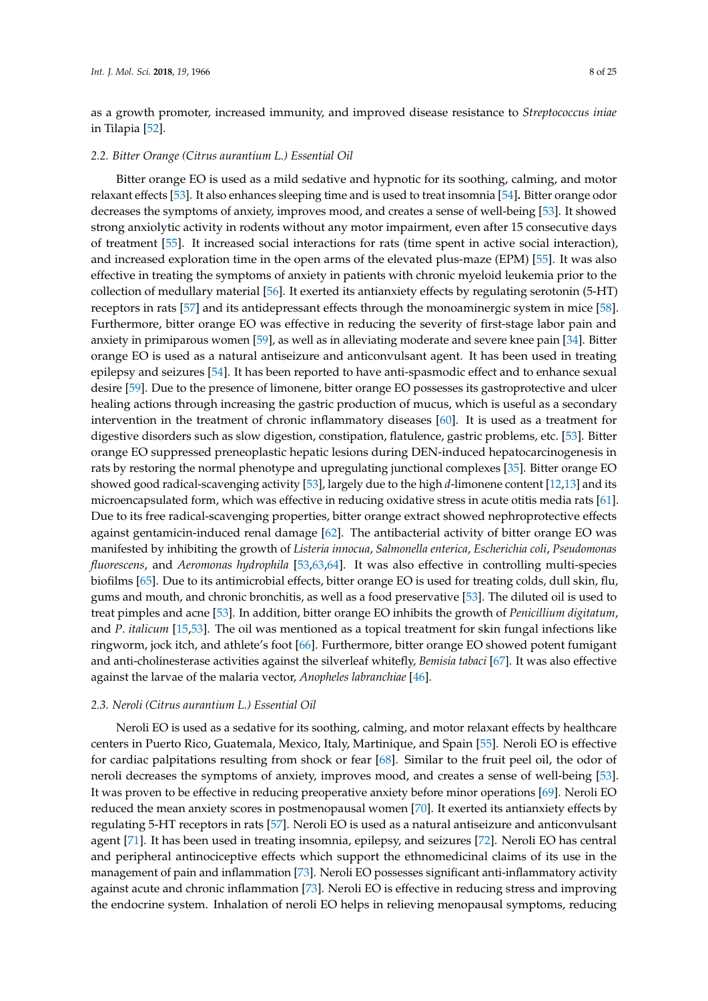as a growth promoter, increased immunity, and improved disease resistance to *Streptococcus iniae* in Tilapia [\[52\]](#page-17-12).

#### *2.2. Bitter Orange (Citrus aurantium L.) Essential Oil*

Bitter orange EO is used as a mild sedative and hypnotic for its soothing, calming, and motor relaxant effects [\[53\]](#page-17-13). It also enhances sleeping time and is used to treat insomnia [\[54\]](#page-17-14)**.** Bitter orange odor decreases the symptoms of anxiety, improves mood, and creates a sense of well-being [\[53\]](#page-17-13). It showed strong anxiolytic activity in rodents without any motor impairment, even after 15 consecutive days of treatment [\[55\]](#page-17-15). It increased social interactions for rats (time spent in active social interaction), and increased exploration time in the open arms of the elevated plus-maze (EPM) [\[55\]](#page-17-15). It was also effective in treating the symptoms of anxiety in patients with chronic myeloid leukemia prior to the collection of medullary material [\[56\]](#page-17-18). It exerted its antianxiety effects by regulating serotonin (5-HT) receptors in rats [\[57\]](#page-17-16) and its antidepressant effects through the monoaminergic system in mice [\[58\]](#page-18-0). Furthermore, bitter orange EO was effective in reducing the severity of first-stage labor pain and anxiety in primiparous women [\[59\]](#page-18-1), as well as in alleviating moderate and severe knee pain [\[34\]](#page-16-16). Bitter orange EO is used as a natural antiseizure and anticonvulsant agent. It has been used in treating epilepsy and seizures [\[54\]](#page-17-14). It has been reported to have anti-spasmodic effect and to enhance sexual desire [\[59\]](#page-18-1). Due to the presence of limonene, bitter orange EO possesses its gastroprotective and ulcer healing actions through increasing the gastric production of mucus, which is useful as a secondary intervention in the treatment of chronic inflammatory diseases [\[60\]](#page-18-2). It is used as a treatment for digestive disorders such as slow digestion, constipation, flatulence, gastric problems, etc. [\[53\]](#page-17-13). Bitter orange EO suppressed preneoplastic hepatic lesions during DEN-induced hepatocarcinogenesis in rats by restoring the normal phenotype and upregulating junctional complexes [\[35\]](#page-16-17). Bitter orange EO showed good radical-scavenging activity [\[53\]](#page-17-13), largely due to the high *d*-limonene content [\[12,](#page-15-11)[13\]](#page-15-12) and its microencapsulated form, which was effective in reducing oxidative stress in acute otitis media rats [\[61\]](#page-18-3). Due to its free radical-scavenging properties, bitter orange extract showed nephroprotective effects against gentamicin-induced renal damage [\[62\]](#page-18-4). The antibacterial activity of bitter orange EO was manifested by inhibiting the growth of *Listeria innocua*, *Salmonella enterica*, *Escherichia coli*, *Pseudomonas fluorescens*, and *Aeromonas hydrophila* [\[53,](#page-17-13)[63,](#page-18-5)[64\]](#page-18-19). It was also effective in controlling multi-species biofilms [\[65\]](#page-18-6). Due to its antimicrobial effects, bitter orange EO is used for treating colds, dull skin, flu, gums and mouth, and chronic bronchitis, as well as a food preservative [\[53\]](#page-17-13). The diluted oil is used to treat pimples and acne [\[53\]](#page-17-13). In addition, bitter orange EO inhibits the growth of *Penicillium digitatum*, and *P*. *italicum* [\[15](#page-16-0)[,53\]](#page-17-13). The oil was mentioned as a topical treatment for skin fungal infections like ringworm, jock itch, and athlete's foot [\[66\]](#page-18-7). Furthermore, bitter orange EO showed potent fumigant and anti-cholinesterase activities against the silverleaf whitefly, *Bemisia tabaci* [\[67\]](#page-18-8). It was also effective against the larvae of the malaria vector, *Anopheles labranchiae* [\[46\]](#page-17-7).

### *2.3. Neroli (Citrus aurantium L.) Essential Oil*

Neroli EO is used as a sedative for its soothing, calming, and motor relaxant effects by healthcare centers in Puerto Rico, Guatemala, Mexico, Italy, Martinique, and Spain [\[55\]](#page-17-15). Neroli EO is effective for cardiac palpitations resulting from shock or fear [\[68\]](#page-18-9). Similar to the fruit peel oil, the odor of neroli decreases the symptoms of anxiety, improves mood, and creates a sense of well-being [\[53\]](#page-17-13). It was proven to be effective in reducing preoperative anxiety before minor operations [\[69\]](#page-18-10). Neroli EO reduced the mean anxiety scores in postmenopausal women [\[70\]](#page-18-11). It exerted its antianxiety effects by regulating 5-HT receptors in rats [\[57\]](#page-17-16). Neroli EO is used as a natural antiseizure and anticonvulsant agent [\[71\]](#page-18-12). It has been used in treating insomnia, epilepsy, and seizures [\[72\]](#page-18-13). Neroli EO has central and peripheral antinociceptive effects which support the ethnomedicinal claims of its use in the management of pain and inflammation [\[73\]](#page-18-14). Neroli EO possesses significant anti-inflammatory activity against acute and chronic inflammation [\[73\]](#page-18-14). Neroli EO is effective in reducing stress and improving the endocrine system. Inhalation of neroli EO helps in relieving menopausal symptoms, reducing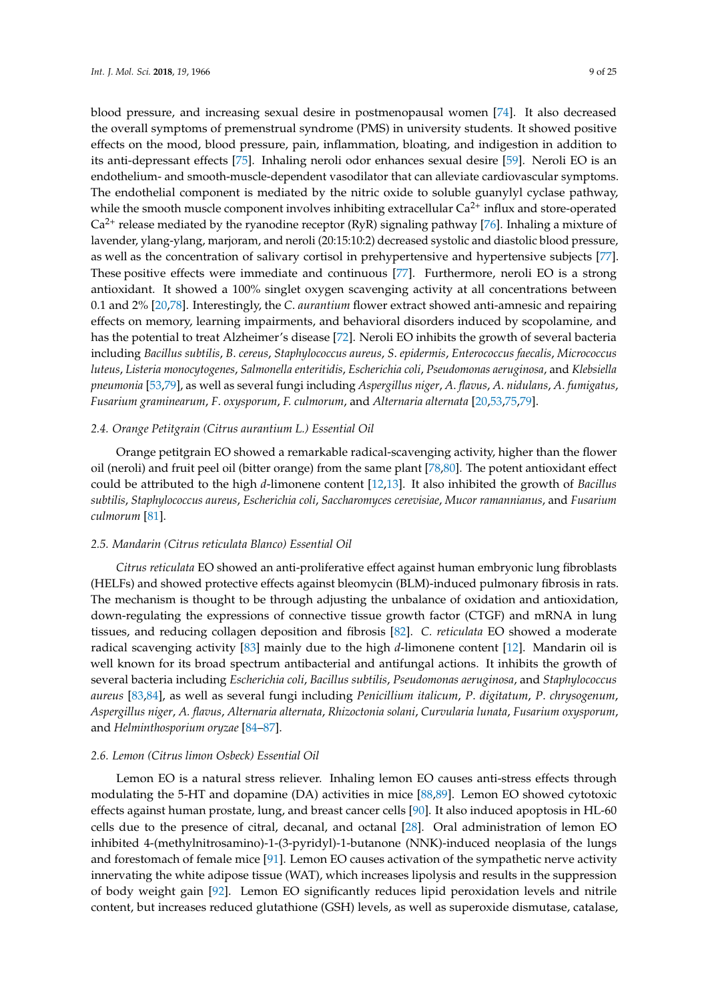blood pressure, and increasing sexual desire in postmenopausal women [\[74\]](#page-18-15). It also decreased the overall symptoms of premenstrual syndrome (PMS) in university students. It showed positive effects on the mood, blood pressure, pain, inflammation, bloating, and indigestion in addition to its anti-depressant effects [\[75\]](#page-18-16). Inhaling neroli odor enhances sexual desire [\[59\]](#page-18-1). Neroli EO is an endothelium- and smooth-muscle-dependent vasodilator that can alleviate cardiovascular symptoms. The endothelial component is mediated by the nitric oxide to soluble guanylyl cyclase pathway, while the smooth muscle component involves inhibiting extracellular  $Ca<sup>2+</sup>$  influx and store-operated  $Ca<sup>2+</sup>$  release mediated by the ryanodine receptor (RyR) signaling pathway [\[76\]](#page-18-17). Inhaling a mixture of lavender, ylang-ylang, marjoram, and neroli (20:15:10:2) decreased systolic and diastolic blood pressure, as well as the concentration of salivary cortisol in prehypertensive and hypertensive subjects [\[77\]](#page-18-18). These positive effects were immediate and continuous [\[77\]](#page-18-18). Furthermore, neroli EO is a strong antioxidant. It showed a 100% singlet oxygen scavenging activity at all concentrations between 0.1 and 2% [\[20,](#page-16-3)[78\]](#page-19-0). Interestingly, the *C*. *aurantium* flower extract showed anti-amnesic and repairing effects on memory, learning impairments, and behavioral disorders induced by scopolamine, and has the potential to treat Alzheimer's disease [\[72\]](#page-18-13). Neroli EO inhibits the growth of several bacteria including *Bacillus subtilis*, *B*. *cereus*, *Staphylococcus aureus*, *S*. *epidermis*, *Enterococcus faecalis*, *Micrococcus luteus*, *Listeria monocytogenes*, *Salmonella enteritidis*, *Escherichia coli*, *Pseudomonas aeruginosa*, and *Klebsiella pneumonia* [\[53](#page-17-13)[,79\]](#page-19-1), as well as several fungi including *Aspergillus niger*, *A*. *flavus*, *A*. *nidulans*, *A*. *fumigatus*, *Fusarium graminearum*, *F*. *oxysporum*, *F. culmorum*, and *Alternaria alternata* [\[20](#page-16-3)[,53](#page-17-13)[,75](#page-18-16)[,79\]](#page-19-1).

#### *2.4. Orange Petitgrain (Citrus aurantium L.) Essential Oil*

Orange petitgrain EO showed a remarkable radical-scavenging activity, higher than the flower oil (neroli) and fruit peel oil (bitter orange) from the same plant [\[78,](#page-19-0)[80\]](#page-19-2). The potent antioxidant effect could be attributed to the high *d*-limonene content [\[12,](#page-15-11)[13\]](#page-15-12). It also inhibited the growth of *Bacillus subtilis*, *Staphylococcus aureus*, *Escherichia coli*, *Saccharomyces cerevisiae*, *Mucor ramannianus*, and *Fusarium culmorum* [\[81\]](#page-19-3).

# *2.5. Mandarin (Citrus reticulata Blanco) Essential Oil*

*Citrus reticulata* EO showed an anti-proliferative effect against human embryonic lung fibroblasts (HELFs) and showed protective effects against bleomycin (BLM)-induced pulmonary fibrosis in rats. The mechanism is thought to be through adjusting the unbalance of oxidation and antioxidation, down-regulating the expressions of connective tissue growth factor (CTGF) and mRNA in lung tissues, and reducing collagen deposition and fibrosis [\[82\]](#page-19-4). *C. reticulata* EO showed a moderate radical scavenging activity [\[83\]](#page-19-5) mainly due to the high *d*-limonene content [\[12\]](#page-15-11). Mandarin oil is well known for its broad spectrum antibacterial and antifungal actions. It inhibits the growth of several bacteria including *Escherichia coli*, *Bacillus subtilis*, *Pseudomonas aeruginosa*, and *Staphylococcus aureus* [\[83](#page-19-5)[,84\]](#page-19-6), as well as several fungi including *Penicillium italicum*, *P*. *digitatum*, *P*. *chrysogenum*, *Aspergillus niger*, *A. flavus*, *Alternaria alternata*, *Rhizoctonia solani*, *Curvularia lunata*, *Fusarium oxysporum*, and *Helminthosporium oryzae* [\[84–](#page-19-6)[87\]](#page-19-7).

## *2.6. Lemon (Citrus limon Osbeck) Essential Oil*

Lemon EO is a natural stress reliever. Inhaling lemon EO causes anti-stress effects through modulating the 5-HT and dopamine (DA) activities in mice [\[88,](#page-19-8)[89\]](#page-19-9). Lemon EO showed cytotoxic effects against human prostate, lung, and breast cancer cells [\[90\]](#page-19-10). It also induced apoptosis in HL-60 cells due to the presence of citral, decanal, and octanal [\[28\]](#page-16-11). Oral administration of lemon EO inhibited 4-(methylnitrosamino)-1-(3-pyridyl)-1-butanone (NNK)-induced neoplasia of the lungs and forestomach of female mice [\[91\]](#page-19-11). Lemon EO causes activation of the sympathetic nerve activity innervating the white adipose tissue (WAT), which increases lipolysis and results in the suppression of body weight gain [\[92\]](#page-19-12). Lemon EO significantly reduces lipid peroxidation levels and nitrile content, but increases reduced glutathione (GSH) levels, as well as superoxide dismutase, catalase,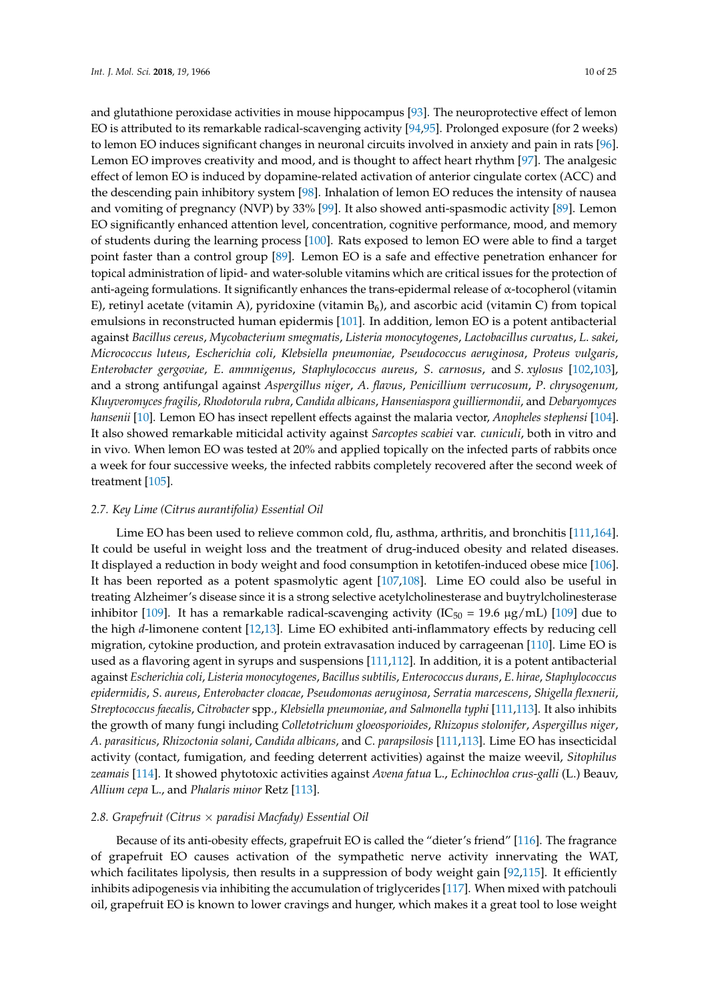and glutathione peroxidase activities in mouse hippocampus [\[93\]](#page-19-13). The neuroprotective effect of lemon EO is attributed to its remarkable radical-scavenging activity [\[94](#page-19-14)[,95\]](#page-19-15). Prolonged exposure (for 2 weeks) to lemon EO induces significant changes in neuronal circuits involved in anxiety and pain in rats [\[96\]](#page-19-16). Lemon EO improves creativity and mood, and is thought to affect heart rhythm [\[97\]](#page-19-17). The analgesic effect of lemon EO is induced by dopamine-related activation of anterior cingulate cortex (ACC) and the descending pain inhibitory system [\[98\]](#page-20-0). Inhalation of lemon EO reduces the intensity of nausea and vomiting of pregnancy (NVP) by 33% [\[99\]](#page-20-1). It also showed anti-spasmodic activity [\[89\]](#page-19-9). Lemon EO significantly enhanced attention level, concentration, cognitive performance, mood, and memory of students during the learning process [\[100\]](#page-20-2). Rats exposed to lemon EO were able to find a target point faster than a control group [\[89\]](#page-19-9). Lemon EO is a safe and effective penetration enhancer for topical administration of lipid- and water-soluble vitamins which are critical issues for the protection of anti-ageing formulations. It significantly enhances the trans-epidermal release of α-tocopherol (vitamin E), retinyl acetate (vitamin A), pyridoxine (vitamin  $B_6$ ), and ascorbic acid (vitamin C) from topical emulsions in reconstructed human epidermis [\[101\]](#page-20-3). In addition, lemon EO is a potent antibacterial against *Bacillus cereus*, *Mycobacterium smegmatis*, *Listeria monocytogenes*, *Lactobacillus curvatus*, *L*. *sakei*, *Micrococcus luteus*, *Escherichia coli*, *Klebsiella pneumoniae*, *Pseudococcus aeruginosa*, *Proteus vulgaris*, *Enterobacter gergoviae*, *E*. *ammnigenus*, *Staphylococcus aureus*, *S*. *carnosus*, and *S*. *xylosus* [\[102,](#page-20-4)[103\]](#page-20-5), and a strong antifungal against *Aspergillus niger*, *A*. *flavus*, *Penicillium verrucosum*, *P*. *chrysogenum, Kluyveromyces fragilis*, *Rhodotorula rubra*, *Candida albicans*, *Hanseniaspora guilliermondii*, and *Debaryomyces hansenii* [\[10\]](#page-15-8). Lemon EO has insect repellent effects against the malaria vector, *Anopheles stephensi* [\[104\]](#page-20-6). It also showed remarkable miticidal activity against *Sarcoptes scabiei* var. *cuniculi*, both in vitro and in vivo. When lemon EO was tested at 20% and applied topically on the infected parts of rabbits once a week for four successive weeks, the infected rabbits completely recovered after the second week of treatment [\[105\]](#page-20-7).

#### *2.7. Key Lime (Citrus aurantifolia) Essential Oil*

Lime EO has been used to relieve common cold, flu, asthma, arthritis, and bronchitis [\[111,](#page-20-13)[164\]](#page-23-9). It could be useful in weight loss and the treatment of drug-induced obesity and related diseases. It displayed a reduction in body weight and food consumption in ketotifen-induced obese mice [\[106\]](#page-20-8). It has been reported as a potent spasmolytic agent [\[107,](#page-20-9)[108\]](#page-20-10). Lime EO could also be useful in treating Alzheimer's disease since it is a strong selective acetylcholinesterase and buytrylcholinesterase inhibitor [\[109\]](#page-20-11). It has a remarkable radical-scavenging activity  $(IC_{50} = 19.6 \mu g/mL)$  [109] due to the high *d*-limonene content [\[12,](#page-15-11)[13\]](#page-15-12). Lime EO exhibited anti-inflammatory effects by reducing cell migration, cytokine production, and protein extravasation induced by carrageenan [\[110\]](#page-20-12). Lime EO is used as a flavoring agent in syrups and suspensions [\[111,](#page-20-13)[112\]](#page-20-14). In addition, it is a potent antibacterial against *Escherichia coli*, *Listeria monocytogenes*, *Bacillus subtilis*, *Enterococcus durans*, *E*. *hirae*, *Staphylococcus epidermidis*, *S*. *aureus*, *Enterobacter cloacae*, *Pseudomonas aeruginosa*, *Serratia marcescens*, *Shigella flexnerii*, *Streptococcus faecalis*, *Citrobacter* spp., *Klebsiella pneumoniae*, *and Salmonella typhi* [\[111,](#page-20-13)[113\]](#page-20-15). It also inhibits the growth of many fungi including *Colletotrichum gloeosporioides*, *Rhizopus stolonifer*, *Aspergillus niger*, *A*. *parasiticus*, *Rhizoctonia solani*, *Candida albicans*, and *C*. *parapsilosis* [\[111](#page-20-13)[,113\]](#page-20-15). Lime EO has insecticidal activity (contact, fumigation, and feeding deterrent activities) against the maize weevil, *Sitophilus zeamais* [\[114\]](#page-20-16). It showed phytotoxic activities against *Avena fatua* L., *Echinochloa crus-galli* (L.) Beauv, *Allium cepa* L., and *Phalaris minor* Retz [\[113\]](#page-20-15).

# *2.8. Grapefruit (Citrus* × *paradisi Macfady) Essential Oil*

Because of its anti-obesity effects, grapefruit EO is called the "dieter's friend" [\[116\]](#page-20-19). The fragrance of grapefruit EO causes activation of the sympathetic nerve activity innervating the WAT, which facilitates lipolysis, then results in a suppression of body weight gain [\[92,](#page-19-12)[115\]](#page-20-17). It efficiently inhibits adipogenesis via inhibiting the accumulation of triglycerides [\[117\]](#page-20-18). When mixed with patchouli oil, grapefruit EO is known to lower cravings and hunger, which makes it a great tool to lose weight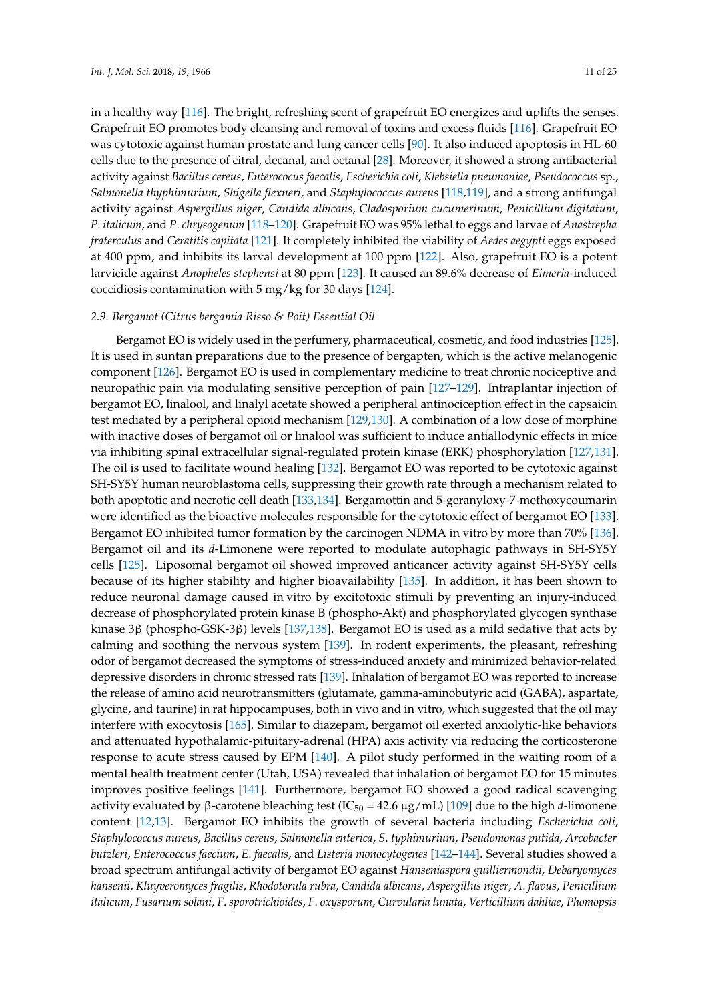in a healthy way [\[116\]](#page-20-19). The bright, refreshing scent of grapefruit EO energizes and uplifts the senses. Grapefruit EO promotes body cleansing and removal of toxins and excess fluids [\[116\]](#page-20-19). Grapefruit EO was cytotoxic against human prostate and lung cancer cells [\[90\]](#page-19-10). It also induced apoptosis in HL-60 cells due to the presence of citral, decanal, and octanal [\[28\]](#page-16-11). Moreover, it showed a strong antibacterial activity against *Bacillus cereus*, *Enterococus faecalis*, *Escherichia coli*, *Klebsiella pneumoniae*, *Pseudococcus* sp., *Salmonella thyphimurium*, *Shigella flexneri*, and *Staphylococcus aureus* [\[118,](#page-21-0)[119\]](#page-21-1), and a strong antifungal activity against *Aspergillus niger*, *Candida albicans*, *Cladosporium cucumerinum*, *Penicillium digitatum*, *P*. *italicum*, and *P*. *chrysogenum* [\[118–](#page-21-0)[120\]](#page-21-2). Grapefruit EO was 95% lethal to eggs and larvae of *Anastrepha fraterculus* and *Ceratitis capitata* [\[121\]](#page-21-3). It completely inhibited the viability of *Aedes aegypti* eggs exposed at 400 ppm, and inhibits its larval development at 100 ppm [\[122\]](#page-21-13). Also, grapefruit EO is a potent larvicide against *Anopheles stephensi* at 80 ppm [\[123\]](#page-21-14). It caused an 89.6% decrease of *Eimeria*-induced coccidiosis contamination with 5 mg/kg for 30 days [\[124\]](#page-21-4).

# *2.9. Bergamot (Citrus bergamia Risso & Poit) Essential Oil*

Bergamot EO is widely used in the perfumery, pharmaceutical, cosmetic, and food industries [\[125\]](#page-21-5). It is used in suntan preparations due to the presence of bergapten, which is the active melanogenic component [\[126\]](#page-21-6). Bergamot EO is used in complementary medicine to treat chronic nociceptive and neuropathic pain via modulating sensitive perception of pain [\[127–](#page-21-7)[129\]](#page-21-8). Intraplantar injection of bergamot EO, linalool, and linalyl acetate showed a peripheral antinociception effect in the capsaicin test mediated by a peripheral opioid mechanism [\[129,](#page-21-8)[130\]](#page-21-9). A combination of a low dose of morphine with inactive doses of bergamot oil or linalool was sufficient to induce antiallodynic effects in mice via inhibiting spinal extracellular signal-regulated protein kinase (ERK) phosphorylation [\[127,](#page-21-7)[131\]](#page-21-10). The oil is used to facilitate wound healing [\[132\]](#page-21-11). Bergamot EO was reported to be cytotoxic against SH-SY5Y human neuroblastoma cells, suppressing their growth rate through a mechanism related to both apoptotic and necrotic cell death [\[133](#page-21-12)[,134\]](#page-21-15). Bergamottin and 5-geranyloxy-7-methoxycoumarin were identified as the bioactive molecules responsible for the cytotoxic effect of bergamot EO [\[133\]](#page-21-12). Bergamot EO inhibited tumor formation by the carcinogen NDMA in vitro by more than 70% [\[136\]](#page-22-1). Bergamot oil and its *d*-Limonene were reported to modulate autophagic pathways in SH-SY5Y cells [\[125\]](#page-21-5). Liposomal bergamot oil showed improved anticancer activity against SH-SY5Y cells because of its higher stability and higher bioavailability [\[135\]](#page-22-0). In addition, it has been shown to reduce neuronal damage caused in vitro by excitotoxic stimuli by preventing an injury-induced decrease of phosphorylated protein kinase B (phospho-Akt) and phosphorylated glycogen synthase kinase 3β (phospho-GSK-3β) levels [\[137,](#page-22-2)[138\]](#page-22-3). Bergamot EO is used as a mild sedative that acts by calming and soothing the nervous system [\[139\]](#page-22-4). In rodent experiments, the pleasant, refreshing odor of bergamot decreased the symptoms of stress-induced anxiety and minimized behavior-related depressive disorders in chronic stressed rats [\[139\]](#page-22-4). Inhalation of bergamot EO was reported to increase the release of amino acid neurotransmitters (glutamate, gamma-aminobutyric acid (GABA), aspartate, glycine, and taurine) in rat hippocampuses, both in vivo and in vitro, which suggested that the oil may interfere with exocytosis [\[165\]](#page-23-10). Similar to diazepam, bergamot oil exerted anxiolytic-like behaviors and attenuated hypothalamic-pituitary-adrenal (HPA) axis activity via reducing the corticosterone response to acute stress caused by EPM [\[140\]](#page-22-5). A pilot study performed in the waiting room of a mental health treatment center (Utah, USA) revealed that inhalation of bergamot EO for 15 minutes improves positive feelings [\[141\]](#page-22-6). Furthermore, bergamot EO showed a good radical scavenging activity evaluated by β-carotene bleaching test (IC<sub>50</sub> = 42.6  $\mu$ g/mL) [\[109\]](#page-20-11) due to the high *d*-limonene content [\[12,](#page-15-11)[13\]](#page-15-12). Bergamot EO inhibits the growth of several bacteria including *Escherichia coli*, *Staphylococcus aureus*, *Bacillus cereus*, *Salmonella enterica*, *S*. *typhimurium*, *Pseudomonas putida*, *Arcobacter butzleri*, *Enterococcus faecium*, *E*. *faecalis*, and *Listeria monocytogenes* [\[142](#page-22-7)[–144\]](#page-22-8). Several studies showed a broad spectrum antifungal activity of bergamot EO against *Hanseniaspora guilliermondii*, *Debaryomyces hansenii*, *Kluyveromyces fragilis*, *Rhodotorula rubra*, *Candida albicans*, *Aspergillus niger*, *A*. *flavus*, *Penicillium italicum*, *Fusarium solani*, *F*. *sporotrichioides*, *F*. *oxysporum*, *Curvularia lunata*, *Verticillium dahliae*, *Phomopsis*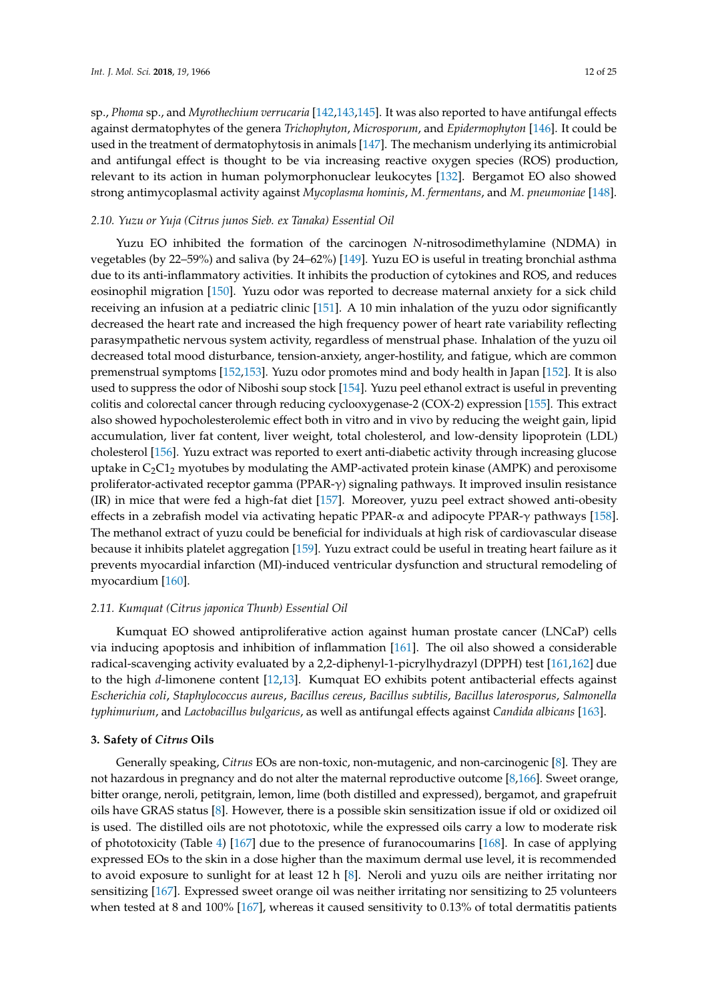sp., *Phoma* sp., and *Myrothechium verrucaria* [\[142](#page-22-7)[,143,](#page-22-9)[145\]](#page-22-10). It was also reported to have antifungal effects against dermatophytes of the genera *Trichophyton*, *Microsporum*, and *Epidermophyton* [\[146\]](#page-22-11). It could be used in the treatment of dermatophytosis in animals [\[147\]](#page-22-12). The mechanism underlying its antimicrobial and antifungal effect is thought to be via increasing reactive oxygen species (ROS) production, relevant to its action in human polymorphonuclear leukocytes [\[132\]](#page-21-11). Bergamot EO also showed strong antimycoplasmal activity against *Mycoplasma hominis*, *M*. *fermentans*, and *M*. *pneumoniae* [\[148\]](#page-22-13).

#### *2.10. Yuzu or Yuja (Citrus junos Sieb. ex Tanaka) Essential Oil*

Yuzu EO inhibited the formation of the carcinogen *N*-nitrosodimethylamine (NDMA) in vegetables (by 22–59%) and saliva (by 24–62%) [\[149\]](#page-22-14). Yuzu EO is useful in treating bronchial asthma due to its anti-inflammatory activities. It inhibits the production of cytokines and ROS, and reduces eosinophil migration [\[150\]](#page-22-15). Yuzu odor was reported to decrease maternal anxiety for a sick child receiving an infusion at a pediatric clinic [\[151\]](#page-22-16). A 10 min inhalation of the yuzu odor significantly decreased the heart rate and increased the high frequency power of heart rate variability reflecting parasympathetic nervous system activity, regardless of menstrual phase. Inhalation of the yuzu oil decreased total mood disturbance, tension-anxiety, anger-hostility, and fatigue, which are common premenstrual symptoms [\[152,](#page-22-17)[153\]](#page-22-18). Yuzu odor promotes mind and body health in Japan [\[152\]](#page-22-17). It is also used to suppress the odor of Niboshi soup stock [\[154\]](#page-22-19). Yuzu peel ethanol extract is useful in preventing colitis and colorectal cancer through reducing cyclooxygenase-2 (COX-2) expression [\[155\]](#page-23-0). This extract also showed hypocholesterolemic effect both in vitro and in vivo by reducing the weight gain, lipid accumulation, liver fat content, liver weight, total cholesterol, and low-density lipoprotein (LDL) cholesterol [\[156\]](#page-23-1). Yuzu extract was reported to exert anti-diabetic activity through increasing glucose uptake in  $C_2C_1$  myotubes by modulating the AMP-activated protein kinase (AMPK) and peroxisome proliferator-activated receptor gamma (PPAR-γ) signaling pathways. It improved insulin resistance (IR) in mice that were fed a high-fat diet [\[157\]](#page-23-2). Moreover, yuzu peel extract showed anti-obesity effects in a zebrafish model via activating hepatic PPAR- $\alpha$  and adipocyte PPAR- $\gamma$  pathways [\[158\]](#page-23-3). The methanol extract of yuzu could be beneficial for individuals at high risk of cardiovascular disease because it inhibits platelet aggregation [\[159\]](#page-23-4). Yuzu extract could be useful in treating heart failure as it prevents myocardial infarction (MI)-induced ventricular dysfunction and structural remodeling of myocardium [\[160\]](#page-23-5).

# *2.11. Kumquat (Citrus japonica Thunb) Essential Oil*

Kumquat EO showed antiproliferative action against human prostate cancer (LNCaP) cells via inducing apoptosis and inhibition of inflammation [\[161\]](#page-23-6). The oil also showed a considerable radical-scavenging activity evaluated by a 2,2-diphenyl-1-picrylhydrazyl (DPPH) test [\[161](#page-23-6)[,162\]](#page-23-7) due to the high *d*-limonene content [\[12,](#page-15-11)[13\]](#page-15-12). Kumquat EO exhibits potent antibacterial effects against *Escherichia coli*, *Staphylococcus aureus*, *Bacillus cereus*, *Bacillus subtilis*, *Bacillus laterosporus*, *Salmonella typhimurium*, and *Lactobacillus bulgaricus*, as well as antifungal effects against *Candida albicans* [\[163\]](#page-23-8).

#### **3. Safety of** *Citrus* **Oils**

Generally speaking, *Citrus* EOs are non-toxic, non-mutagenic, and non-carcinogenic [\[8\]](#page-15-6). They are not hazardous in pregnancy and do not alter the maternal reproductive outcome [\[8](#page-15-6)[,166\]](#page-23-11). Sweet orange, bitter orange, neroli, petitgrain, lemon, lime (both distilled and expressed), bergamot, and grapefruit oils have GRAS status [\[8\]](#page-15-6). However, there is a possible skin sensitization issue if old or oxidized oil is used. The distilled oils are not phototoxic, while the expressed oils carry a low to moderate risk of phototoxicity (Table [4\)](#page-12-0) [\[167\]](#page-23-12) due to the presence of furanocoumarins [\[168\]](#page-23-13). In case of applying expressed EOs to the skin in a dose higher than the maximum dermal use level, it is recommended to avoid exposure to sunlight for at least 12 h [\[8\]](#page-15-6). Neroli and yuzu oils are neither irritating nor sensitizing [\[167\]](#page-23-12). Expressed sweet orange oil was neither irritating nor sensitizing to 25 volunteers when tested at 8 and 100% [\[167\]](#page-23-12), whereas it caused sensitivity to 0.13% of total dermatitis patients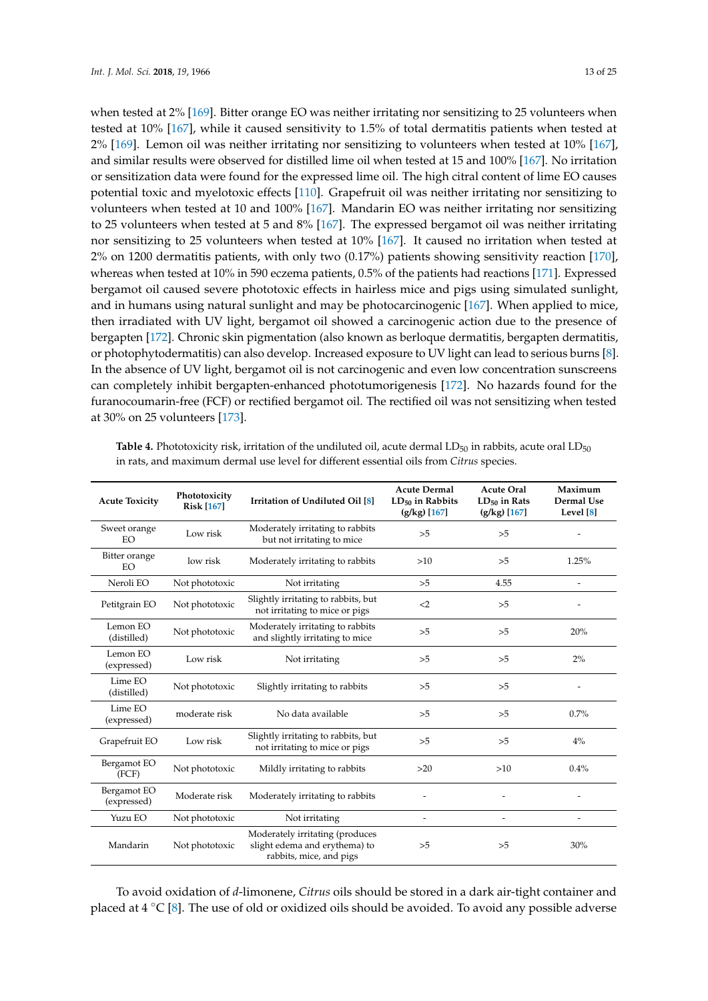when tested at 2% [\[169\]](#page-23-14). Bitter orange EO was neither irritating nor sensitizing to 25 volunteers when tested at 10% [\[167\]](#page-23-12), while it caused sensitivity to 1.5% of total dermatitis patients when tested at 2% [\[169\]](#page-23-14). Lemon oil was neither irritating nor sensitizing to volunteers when tested at 10% [\[167\]](#page-23-12), and similar results were observed for distilled lime oil when tested at 15 and 100% [\[167\]](#page-23-12). No irritation or sensitization data were found for the expressed lime oil. The high citral content of lime EO causes potential toxic and myelotoxic effects [\[110\]](#page-20-12). Grapefruit oil was neither irritating nor sensitizing to volunteers when tested at 10 and 100% [\[167\]](#page-23-12). Mandarin EO was neither irritating nor sensitizing to 25 volunteers when tested at 5 and 8% [\[167\]](#page-23-12). The expressed bergamot oil was neither irritating nor sensitizing to 25 volunteers when tested at 10% [\[167\]](#page-23-12). It caused no irritation when tested at 2% on 1200 dermatitis patients, with only two (0.17%) patients showing sensitivity reaction [\[170\]](#page-23-15), whereas when tested at 10% in 590 eczema patients, 0.5% of the patients had reactions [\[171\]](#page-23-16). Expressed bergamot oil caused severe phototoxic effects in hairless mice and pigs using simulated sunlight, and in humans using natural sunlight and may be photocarcinogenic [\[167\]](#page-23-12). When applied to mice, then irradiated with UV light, bergamot oil showed a carcinogenic action due to the presence of bergapten [\[172\]](#page-23-17). Chronic skin pigmentation (also known as berloque dermatitis, bergapten dermatitis, or photophytodermatitis) can also develop. Increased exposure to UV light can lead to serious burns [\[8\]](#page-15-6). In the absence of UV light, bergamot oil is not carcinogenic and even low concentration sunscreens can completely inhibit bergapten-enhanced phototumorigenesis [\[172\]](#page-23-17). No hazards found for the furanocoumarin-free (FCF) or rectified bergamot oil. The rectified oil was not sensitizing when tested at 30% on 25 volunteers [\[173\]](#page-23-18).

| <b>Acute Toxicity</b>           | Phototoxicity<br><b>Risk [167]</b> | Irritation of Undiluted Oil [8]                                                             | <b>Acute Dermal</b><br>$LD_{50}$ in Rabbits<br>$(g/kg)$ [167] | <b>Acute Oral</b><br>$LD_{50}$ in Rats<br>$(g/kg)$ [167] | Maximum<br>Dermal Use<br>Level [8] |
|---------------------------------|------------------------------------|---------------------------------------------------------------------------------------------|---------------------------------------------------------------|----------------------------------------------------------|------------------------------------|
| Sweet orange<br><b>EO</b>       | Low risk                           | Moderately irritating to rabbits<br>but not irritating to mice                              | >5                                                            | >5                                                       |                                    |
| Bitter orange<br>low risk<br>EO |                                    | Moderately irritating to rabbits                                                            | >10                                                           | >5                                                       | 1.25%                              |
| Neroli EO                       | Not phototoxic                     | Not irritating                                                                              | >5                                                            | 4.55                                                     |                                    |
| Petitgrain EO                   | Not phototoxic                     | Slightly irritating to rabbits, but<br>not irritating to mice or pigs                       | $\leq$ 2                                                      | >5                                                       |                                    |
| Lemon EO<br>(distilled)         | Not phototoxic                     | Moderately irritating to rabbits<br>and slightly irritating to mice                         | >5                                                            | >5                                                       | 20%                                |
| Lemon EO<br>(expressed)         | Low risk                           | Not irritating                                                                              | >5                                                            | >5                                                       | 2%                                 |
| Lime EO<br>(distilled)          | Not phototoxic                     | Slightly irritating to rabbits                                                              | >5                                                            | >5                                                       |                                    |
| Lime EO<br>(expressed)          | moderate risk                      | No data available                                                                           | >5                                                            | >5                                                       | 0.7%                               |
| Grapefruit EO                   | Low risk                           | Slightly irritating to rabbits, but<br>not irritating to mice or pigs                       | >5                                                            | >5                                                       | $4\%$                              |
| Bergamot EO<br>(FCF)            | Not phototoxic                     | Mildly irritating to rabbits                                                                | $>20$                                                         | >10                                                      | 0.4%                               |
| Bergamot EO<br>(expressed)      | Moderate risk                      | Moderately irritating to rabbits                                                            |                                                               |                                                          |                                    |
| Yuzu EO                         | Not phototoxic                     | Not irritating                                                                              | $\overline{\phantom{a}}$                                      |                                                          |                                    |
| Mandarin                        | Not phototoxic                     | Moderately irritating (produces<br>slight edema and erythema) to<br>rabbits, mice, and pigs | >5                                                            | >5                                                       | 30%                                |

<span id="page-12-0"></span>**Table 4.** Phototoxicity risk, irritation of the undiluted oil, acute dermal LD<sub>50</sub> in rabbits, acute oral LD<sub>50</sub> in rats, and maximum dermal use level for different essential oils from *Citrus* species.

To avoid oxidation of *d*-limonene, *Citrus* oils should be stored in a dark air-tight container and placed at  $4 °C$  [\[8\]](#page-15-6). The use of old or oxidized oils should be avoided. To avoid any possible adverse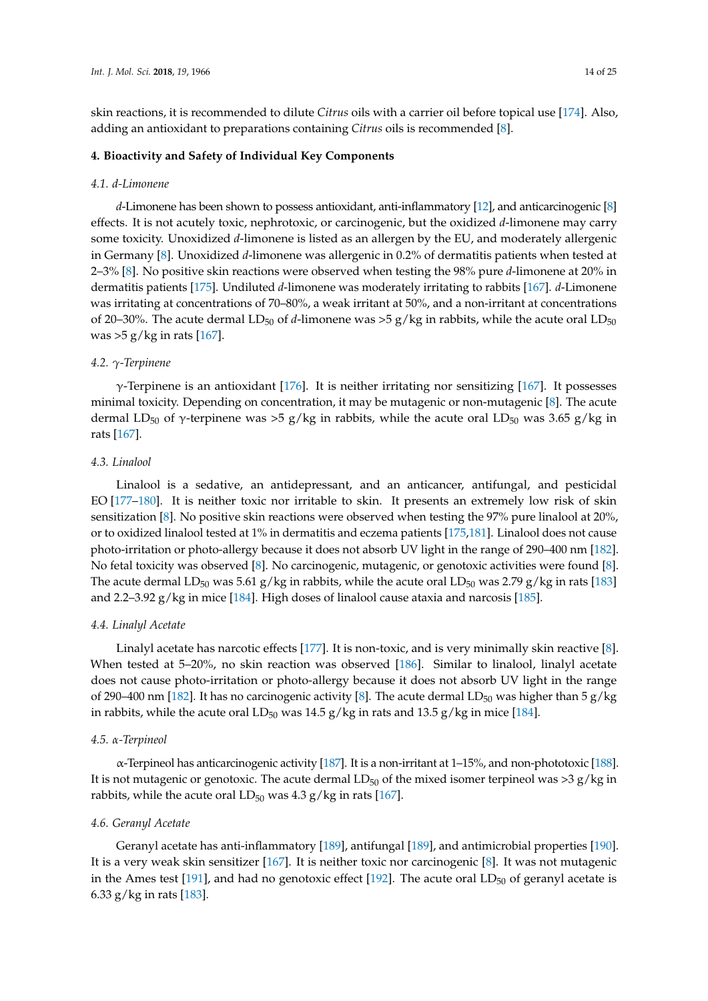skin reactions, it is recommended to dilute *Citrus* oils with a carrier oil before topical use [\[174\]](#page-23-19). Also, adding an antioxidant to preparations containing *Citrus* oils is recommended [\[8\]](#page-15-6).

# **4. Bioactivity and Safety of Individual Key Components**

#### *4.1. d-Limonene*

*d*-Limonene has been shown to possess antioxidant, anti-inflammatory [\[12\]](#page-15-11), and anticarcinogenic [\[8\]](#page-15-6) effects. It is not acutely toxic, nephrotoxic, or carcinogenic, but the oxidized *d*-limonene may carry some toxicity. Unoxidized *d*-limonene is listed as an allergen by the EU, and moderately allergenic in Germany [\[8\]](#page-15-6). Unoxidized *d*-limonene was allergenic in 0.2% of dermatitis patients when tested at 2–3% [\[8\]](#page-15-6). No positive skin reactions were observed when testing the 98% pure *d*-limonene at 20% in dermatitis patients [\[175\]](#page-23-20). Undiluted *d*-limonene was moderately irritating to rabbits [\[167\]](#page-23-12). *d*-Limonene was irritating at concentrations of 70–80%, a weak irritant at 50%, and a non-irritant at concentrations of 20–30%. The acute dermal LD<sub>50</sub> of *d*-limonene was >5 g/kg in rabbits, while the acute oral LD<sub>50</sub> was  $>5$  g/kg in rats [\[167\]](#page-23-12).

# *4.2. γ-Terpinene*

γ-Terpinene is an antioxidant [\[176\]](#page-23-21). It is neither irritating nor sensitizing [\[167\]](#page-23-12). It possesses minimal toxicity. Depending on concentration, it may be mutagenic or non-mutagenic [\[8\]](#page-15-6). The acute dermal LD<sub>50</sub> of γ-terpinene was >5 g/kg in rabbits, while the acute oral LD<sub>50</sub> was 3.65 g/kg in rats [\[167\]](#page-23-12).

## *4.3. Linalool*

Linalool is a sedative, an antidepressant, and an anticancer, antifungal, and pesticidal EO [\[177](#page-23-22)[–180\]](#page-24-0). It is neither toxic nor irritable to skin. It presents an extremely low risk of skin sensitization [\[8\]](#page-15-6). No positive skin reactions were observed when testing the 97% pure linalool at 20%, or to oxidized linalool tested at 1% in dermatitis and eczema patients [\[175](#page-23-20)[,181\]](#page-24-1). Linalool does not cause photo-irritation or photo-allergy because it does not absorb UV light in the range of 290–400 nm [\[182\]](#page-24-2). No fetal toxicity was observed [\[8\]](#page-15-6). No carcinogenic, mutagenic, or genotoxic activities were found [\[8\]](#page-15-6). The acute dermal LD<sub>50</sub> was 5.61 g/kg in rabbits, while the acute oral LD<sub>50</sub> was 2.79 g/kg in rats [\[183\]](#page-24-3) and 2.2–3.92 g/kg in mice [\[184\]](#page-24-4). High doses of linalool cause ataxia and narcosis [\[185\]](#page-24-5).

#### *4.4. Linalyl Acetate*

Linalyl acetate has narcotic effects [\[177\]](#page-23-22). It is non-toxic, and is very minimally skin reactive [\[8\]](#page-15-6). When tested at 5–20%, no skin reaction was observed [\[186\]](#page-24-6). Similar to linalool, linalyl acetate does not cause photo-irritation or photo-allergy because it does not absorb UV light in the range of 290–400 nm [\[182\]](#page-24-2). It has no carcinogenic activity [\[8\]](#page-15-6). The acute dermal LD<sub>50</sub> was higher than 5 g/kg in rabbits, while the acute oral LD<sub>50</sub> was 14.5 g/kg in rats and 13.5 g/kg in mice [\[184\]](#page-24-4).

#### *4.5. α-Terpineol*

α-Terpineol has anticarcinogenic activity [\[187\]](#page-24-7). It is a non-irritant at 1–15%, and non-phototoxic [\[188\]](#page-24-8). It is not mutagenic or genotoxic. The acute dermal  $LD_{50}$  of the mixed isomer terpineol was  $>3 g/kg$  in rabbits, while the acute oral  $LD_{50}$  was 4.3 g/kg in rats [\[167\]](#page-23-12).

# *4.6. Geranyl Acetate*

Geranyl acetate has anti-inflammatory [\[189\]](#page-24-9), antifungal [\[189\]](#page-24-9), and antimicrobial properties [\[190\]](#page-24-10). It is a very weak skin sensitizer [\[167\]](#page-23-12). It is neither toxic nor carcinogenic [\[8\]](#page-15-6). It was not mutagenic in the Ames test [\[191\]](#page-24-11), and had no genotoxic effect [\[192\]](#page-24-12). The acute oral  $LD_{50}$  of geranyl acetate is 6.33 g/kg in rats [\[183\]](#page-24-3).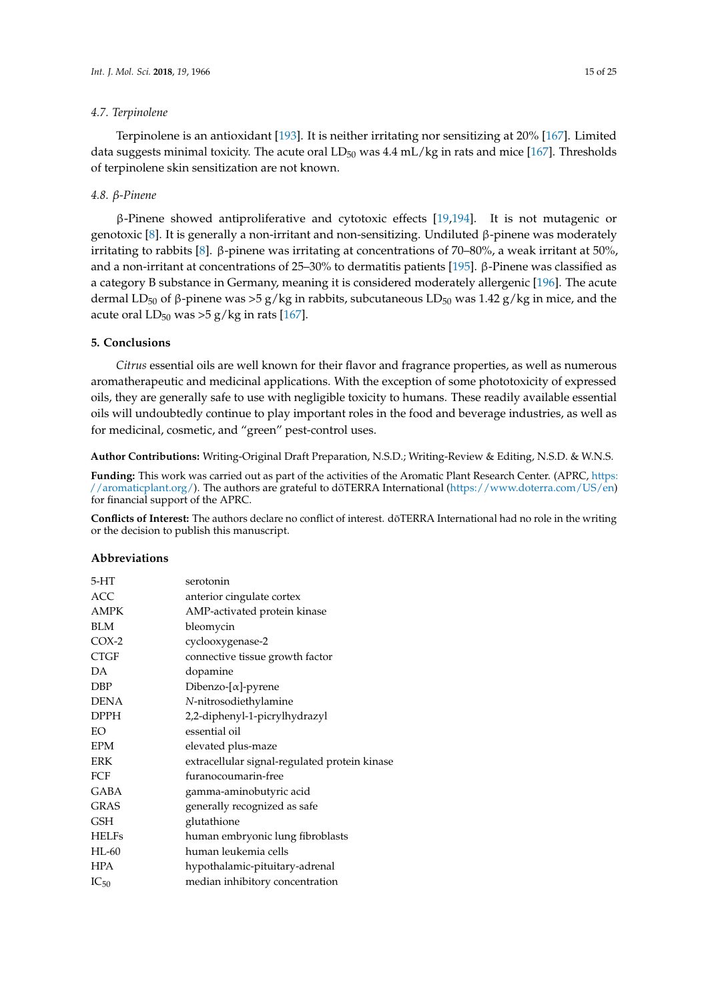# *4.7. Terpinolene*

Terpinolene is an antioxidant [\[193\]](#page-24-13). It is neither irritating nor sensitizing at 20% [\[167\]](#page-23-12). Limited data suggests minimal toxicity. The acute oral  $LD_{50}$  was 4.4 mL/kg in rats and mice [\[167\]](#page-23-12). Thresholds of terpinolene skin sensitization are not known.

# *4.8. β-Pinene*

β-Pinene showed antiproliferative and cytotoxic effects [\[19,](#page-16-1)[194\]](#page-24-14). It is not mutagenic or genotoxic [\[8\]](#page-15-6). It is generally a non-irritant and non-sensitizing. Undiluted β-pinene was moderately irritating to rabbits [\[8\]](#page-15-6). β-pinene was irritating at concentrations of 70–80%, a weak irritant at 50%, and a non-irritant at concentrations of 25–30% to dermatitis patients [\[195\]](#page-24-15). β-Pinene was classified as a category B substance in Germany, meaning it is considered moderately allergenic [\[196\]](#page-24-16). The acute dermal LD<sub>50</sub> of β-pinene was >5 g/kg in rabbits, subcutaneous LD<sub>50</sub> was 1.42 g/kg in mice, and the acute oral  $LD_{50}$  was >5 g/kg in rats [\[167\]](#page-23-12).

# **5. Conclusions**

*Citrus* essential oils are well known for their flavor and fragrance properties, as well as numerous aromatherapeutic and medicinal applications. With the exception of some phototoxicity of expressed oils, they are generally safe to use with negligible toxicity to humans. These readily available essential oils will undoubtedly continue to play important roles in the food and beverage industries, as well as for medicinal, cosmetic, and "green" pest-control uses.

**Author Contributions:** Writing-Original Draft Preparation, N.S.D.; Writing-Review & Editing, N.S.D. & W.N.S.

**Funding:** This work was carried out as part of the activities of the Aromatic Plant Research Center. (APRC, [https:](https://aromaticplant.org/) [//aromaticplant.org/\)](https://aromaticplant.org/). The authors are grateful to doTERRA International ([https://www.doterra.com/US/en\)](https://www.doterra.com/US/en) for financial support of the APRC.

**Conflicts of Interest:** The authors declare no conflict of interest. doTERRA International had no role in the writing ¯ or the decision to publish this manuscript.

# **Abbreviations**

| $5-HT$       | serotonin                                     |
|--------------|-----------------------------------------------|
| <b>ACC</b>   | anterior cingulate cortex                     |
| <b>AMPK</b>  | AMP-activated protein kinase                  |
| <b>BLM</b>   | bleomycin                                     |
| $COX-2$      | cyclooxygenase-2                              |
| <b>CTGF</b>  | connective tissue growth factor               |
| DA           | dopamine                                      |
| <b>DBP</b>   | Dibenzo- $[\alpha]$ -pyrene                   |
| <b>DENA</b>  | N-nitrosodiethylamine                         |
| <b>DPPH</b>  | 2,2-diphenyl-1-picrylhydrazyl                 |
| EO           | essential oil                                 |
| <b>EPM</b>   | elevated plus-maze                            |
| <b>ERK</b>   | extracellular signal-regulated protein kinase |
| FCF          | furanocoumarin-free                           |
| <b>GABA</b>  | gamma-aminobutyric acid                       |
| <b>GRAS</b>  | generally recognized as safe                  |
| GSH          | glutathione                                   |
| <b>HELFs</b> | human embryonic lung fibroblasts              |
| $HL-60$      | human leukemia cells                          |
| <b>HPA</b>   | hypothalamic-pituitary-adrenal                |
| $IC_{50}$    | median inhibitory concentration               |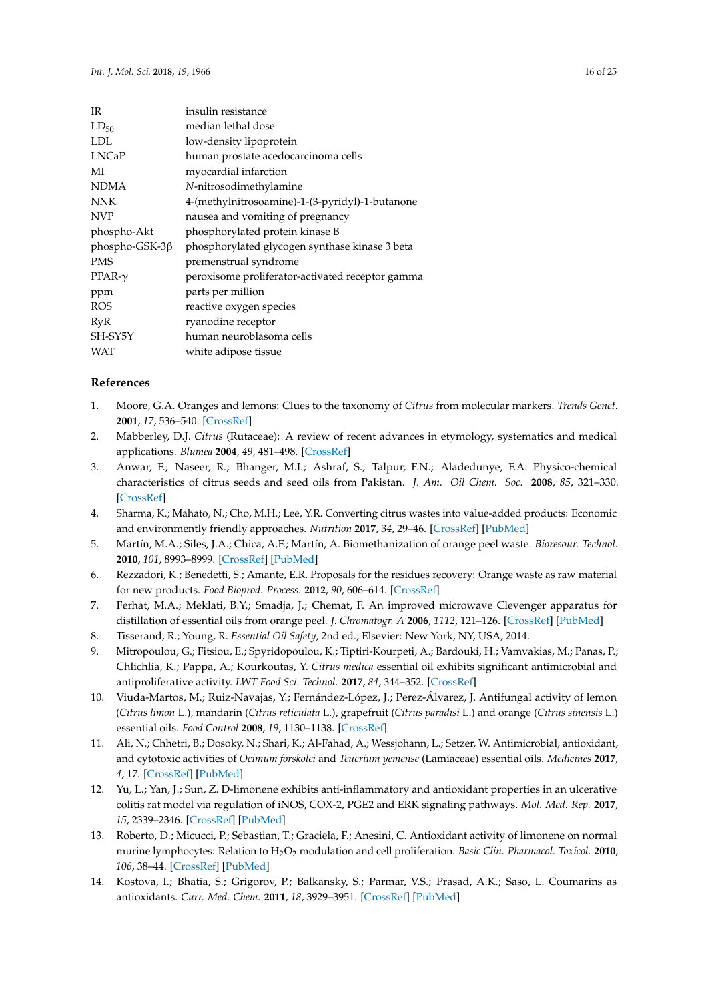| <b>IR</b>      | insulin resistance                               |
|----------------|--------------------------------------------------|
| $LD_{50}$      | median lethal dose                               |
| LDL            | low-density lipoprotein                          |
| <b>LNCaP</b>   | human prostate acedocarcinoma cells              |
| МI             | myocardial infarction                            |
| NDMA           | N-nitrosodimethylamine                           |
| NNK            | 4-(methylnitrosoamine)-1-(3-pyridyl)-1-butanone  |
| NVP            | nausea and vomiting of pregnancy                 |
| phospho-Akt    | phosphorylated protein kinase B                  |
| phospho-GSK-3β | phosphorylated glycogen synthase kinase 3 beta   |
| <b>PMS</b>     | premenstrual syndrome                            |
| $PPAR-\gamma$  | peroxisome proliferator-activated receptor gamma |
| ppm            | parts per million                                |
| ROS            | reactive oxygen species                          |
| RvR            | ryanodine receptor                               |
| SH-SY5Y        | human neuroblasoma cells                         |
| WAT            | white adipose tissue                             |

# <span id="page-15-10"></span>**References**

- <span id="page-15-0"></span>1. Moore, G.A. Oranges and lemons: Clues to the taxonomy of *Citrus* from molecular markers. *Trends Genet.* **2001**, *17*, 536–540. [\[CrossRef\]](http://dx.doi.org/10.1016/S0168-9525(01)02442-8)
- <span id="page-15-1"></span>2. Mabberley, D.J. *Citrus* (Rutaceae): A review of recent advances in etymology, systematics and medical applications. *Blumea* **2004**, *49*, 481–498. [\[CrossRef\]](http://dx.doi.org/10.3767/000651904X484432)
- <span id="page-15-2"></span>3. Anwar, F.; Naseer, R.; Bhanger, M.I.; Ashraf, S.; Talpur, F.N.; Aladedunye, F.A. Physico-chemical characteristics of citrus seeds and seed oils from Pakistan. *J. Am. Oil Chem. Soc.* **2008**, *85*, 321–330. [\[CrossRef\]](http://dx.doi.org/10.1007/s11746-008-1204-3)
- <span id="page-15-3"></span>4. Sharma, K.; Mahato, N.; Cho, M.H.; Lee, Y.R. Converting citrus wastes into value-added products: Economic and environmently friendly approaches. *Nutrition* **2017**, *34*, 29–46. [\[CrossRef\]](http://dx.doi.org/10.1016/j.nut.2016.09.006) [\[PubMed\]](http://www.ncbi.nlm.nih.gov/pubmed/28063510)
- 5. Martín, M.A.; Siles, J.A.; Chica, A.F.; Martín, A. Biomethanization of orange peel waste. *Bioresour. Technol.* **2010**, *101*, 8993–8999. [\[CrossRef\]](http://dx.doi.org/10.1016/j.biortech.2010.06.133) [\[PubMed\]](http://www.ncbi.nlm.nih.gov/pubmed/20655741)
- <span id="page-15-4"></span>6. Rezzadori, K.; Benedetti, S.; Amante, E.R. Proposals for the residues recovery: Orange waste as raw material for new products. *Food Bioprod. Process.* **2012**, *90*, 606–614. [\[CrossRef\]](http://dx.doi.org/10.1016/j.fbp.2012.06.002)
- <span id="page-15-5"></span>7. Ferhat, M.A.; Meklati, B.Y.; Smadja, J.; Chemat, F. An improved microwave Clevenger apparatus for distillation of essential oils from orange peel. *J. Chromatogr. A* **2006**, *1112*, 121–126. [\[CrossRef\]](http://dx.doi.org/10.1016/j.chroma.2005.12.030) [\[PubMed\]](http://www.ncbi.nlm.nih.gov/pubmed/16384566)
- <span id="page-15-6"></span>8. Tisserand, R.; Young, R. *Essential Oil Safety*, 2nd ed.; Elsevier: New York, NY, USA, 2014.
- <span id="page-15-7"></span>9. Mitropoulou, G.; Fitsiou, E.; Spyridopoulou, K.; Tiptiri-Kourpeti, A.; Bardouki, H.; Vamvakias, M.; Panas, P.; Chlichlia, K.; Pappa, A.; Kourkoutas, Y. *Citrus medica* essential oil exhibits significant antimicrobial and antiproliferative activity. *LWT Food Sci. Technol.* **2017**, *84*, 344–352. [\[CrossRef\]](http://dx.doi.org/10.1016/j.lwt.2017.05.036)
- <span id="page-15-8"></span>10. Viuda-Martos, M.; Ruiz-Navajas, Y.; Fernández-López, J.; Perez-Álvarez, J. Antifungal activity of lemon (*Citrus limon* L.), mandarin (*Citrus reticulata* L.), grapefruit (*Citrus paradisi* L.) and orange (*Citrus sinensis* L.) essential oils. *Food Control* **2008**, *19*, 1130–1138. [\[CrossRef\]](http://dx.doi.org/10.1016/j.foodcont.2007.12.003)
- 11. Ali, N.; Chhetri, B.; Dosoky, N.; Shari, K.; Al-Fahad, A.; Wessjohann, L.; Setzer, W. Antimicrobial, antioxidant, and cytotoxic activities of *Ocimum forskolei* and *Teucrium yemense* (Lamiaceae) essential oils. *Medicines* **2017**, *4*, 17. [\[CrossRef\]](http://dx.doi.org/10.3390/medicines4020017) [\[PubMed\]](http://www.ncbi.nlm.nih.gov/pubmed/28930232)
- <span id="page-15-11"></span>12. Yu, L.; Yan, J.; Sun, Z. D-limonene exhibits anti-inflammatory and antioxidant properties in an ulcerative colitis rat model via regulation of iNOS, COX-2, PGE2 and ERK signaling pathways. *Mol. Med. Rep.* **2017**, *15*, 2339–2346. [\[CrossRef\]](http://dx.doi.org/10.3892/mmr.2017.6241) [\[PubMed\]](http://www.ncbi.nlm.nih.gov/pubmed/28260017)
- <span id="page-15-12"></span>13. Roberto, D.; Micucci, P.; Sebastian, T.; Graciela, F.; Anesini, C. Antioxidant activity of limonene on normal murine lymphocytes: Relation to H2O<sup>2</sup> modulation and cell proliferation. *Basic Clin. Pharmacol. Toxicol.* **2010**, *106*, 38–44. [\[CrossRef\]](http://dx.doi.org/10.1111/j.1742-7843.2009.00467.x) [\[PubMed\]](http://www.ncbi.nlm.nih.gov/pubmed/19796276)
- <span id="page-15-9"></span>14. Kostova, I.; Bhatia, S.; Grigorov, P.; Balkansky, S.; Parmar, V.S.; Prasad, A.K.; Saso, L. Coumarins as antioxidants. *Curr. Med. Chem.* **2011**, *18*, 3929–3951. [\[CrossRef\]](http://dx.doi.org/10.2174/092986711803414395) [\[PubMed\]](http://www.ncbi.nlm.nih.gov/pubmed/21824098)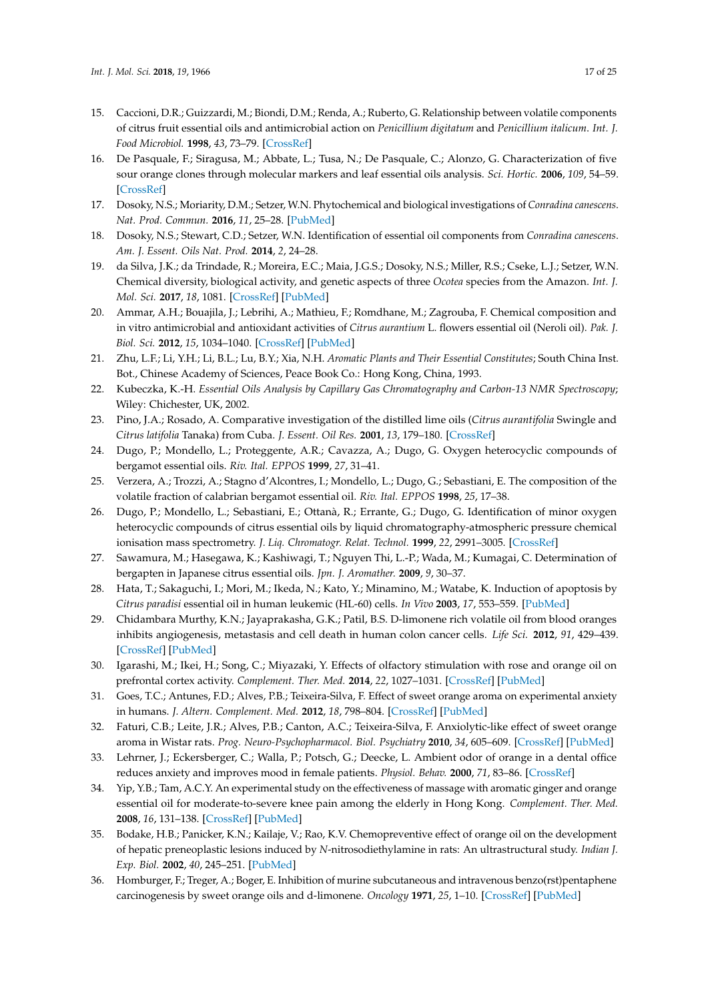- <span id="page-16-6"></span><span id="page-16-5"></span><span id="page-16-4"></span><span id="page-16-0"></span>15. Caccioni, D.R.; Guizzardi, M.; Biondi, D.M.; Renda, A.; Ruberto, G. Relationship between volatile components of citrus fruit essential oils and antimicrobial action on *Penicillium digitatum* and *Penicillium italicum*. *Int. J. Food Microbiol.* **1998**, *43*, 73–79. [\[CrossRef\]](http://dx.doi.org/10.1016/S0168-1605(98)00099-3)
- <span id="page-16-7"></span><span id="page-16-2"></span>16. De Pasquale, F.; Siragusa, M.; Abbate, L.; Tusa, N.; De Pasquale, C.; Alonzo, G. Characterization of five sour orange clones through molecular markers and leaf essential oils analysis. *Sci. Hortic.* **2006**, *109*, 54–59. [\[CrossRef\]](http://dx.doi.org/10.1016/j.scienta.2006.03.002)
- <span id="page-16-9"></span><span id="page-16-8"></span>17. Dosoky, N.S.; Moriarity, D.M.; Setzer, W.N. Phytochemical and biological investigations of *Conradina canescens*. *Nat. Prod. Commun.* **2016**, *11*, 25–28. [\[PubMed\]](http://www.ncbi.nlm.nih.gov/pubmed/26996011)
- 18. Dosoky, N.S.; Stewart, C.D.; Setzer, W.N. Identification of essential oil components from *Conradina canescens*. *Am. J. Essent. Oils Nat. Prod.* **2014**, *2*, 24–28.
- <span id="page-16-10"></span><span id="page-16-1"></span>19. da Silva, J.K.; da Trindade, R.; Moreira, E.C.; Maia, J.G.S.; Dosoky, N.S.; Miller, R.S.; Cseke, L.J.; Setzer, W.N. Chemical diversity, biological activity, and genetic aspects of three *Ocotea* species from the Amazon. *Int. J. Mol. Sci.* **2017**, *18*, 1081. [\[CrossRef\]](http://dx.doi.org/10.3390/ijms18051081) [\[PubMed\]](http://www.ncbi.nlm.nih.gov/pubmed/28524091)
- <span id="page-16-3"></span>20. Ammar, A.H.; Bouajila, J.; Lebrihi, A.; Mathieu, F.; Romdhane, M.; Zagrouba, F. Chemical composition and in vitro antimicrobial and antioxidant activities of *Citrus aurantium* L. flowers essential oil (Neroli oil). *Pak. J. Biol. Sci.* **2012**, *15*, 1034–1040. [\[CrossRef\]](http://dx.doi.org/10.3923/pjbs.2012.1034.1040) [\[PubMed\]](http://www.ncbi.nlm.nih.gov/pubmed/24163946)
- 21. Zhu, L.F.; Li, Y.H.; Li, B.L.; Lu, B.Y.; Xia, N.H. *Aromatic Plants and Their Essential Constitutes*; South China Inst. Bot., Chinese Academy of Sciences, Peace Book Co.: Hong Kong, China, 1993.
- 22. Kubeczka, K.-H. *Essential Oils Analysis by Capillary Gas Chromatography and Carbon-13 NMR Spectroscopy*; Wiley: Chichester, UK, 2002.
- 23. Pino, J.A.; Rosado, A. Comparative investigation of the distilled lime oils (*Citrus aurantifolia* Swingle and *Citrus latifolia* Tanaka) from Cuba. *J. Essent. Oil Res.* **2001**, *13*, 179–180. [\[CrossRef\]](http://dx.doi.org/10.1080/10412905.2001.9699653)
- 24. Dugo, P.; Mondello, L.; Proteggente, A.R.; Cavazza, A.; Dugo, G. Oxygen heterocyclic compounds of bergamot essential oils. *Riv. Ital. EPPOS* **1999**, *27*, 31–41.
- 25. Verzera, A.; Trozzi, A.; Stagno d'Alcontres, I.; Mondello, L.; Dugo, G.; Sebastiani, E. The composition of the volatile fraction of calabrian bergamot essential oil. *Riv. Ital. EPPOS* **1998**, *25*, 17–38.
- 26. Dugo, P.; Mondello, L.; Sebastiani, E.; Ottanà, R.; Errante, G.; Dugo, G. Identification of minor oxygen heterocyclic compounds of citrus essential oils by liquid chromatography-atmospheric pressure chemical ionisation mass spectrometry. *J. Liq. Chromatogr. Relat. Technol.* **1999**, *22*, 2991–3005. [\[CrossRef\]](http://dx.doi.org/10.1081/JLC-100102073)
- 27. Sawamura, M.; Hasegawa, K.; Kashiwagi, T.; Nguyen Thi, L.-P.; Wada, M.; Kumagai, C. Determination of bergapten in Japanese citrus essential oils. *Jpn. J. Aromather.* **2009**, *9*, 30–37.
- <span id="page-16-11"></span>28. Hata, T.; Sakaguchi, I.; Mori, M.; Ikeda, N.; Kato, Y.; Minamino, M.; Watabe, K. Induction of apoptosis by *Citrus paradisi* essential oil in human leukemic (HL-60) cells. *In Vivo* **2003**, *17*, 553–559. [\[PubMed\]](http://www.ncbi.nlm.nih.gov/pubmed/14758720)
- <span id="page-16-12"></span>29. Chidambara Murthy, K.N.; Jayaprakasha, G.K.; Patil, B.S. D-limonene rich volatile oil from blood oranges inhibits angiogenesis, metastasis and cell death in human colon cancer cells. *Life Sci.* **2012**, *91*, 429–439. [\[CrossRef\]](http://dx.doi.org/10.1016/j.lfs.2012.08.016) [\[PubMed\]](http://www.ncbi.nlm.nih.gov/pubmed/22935404)
- <span id="page-16-13"></span>30. Igarashi, M.; Ikei, H.; Song, C.; Miyazaki, Y. Effects of olfactory stimulation with rose and orange oil on prefrontal cortex activity. *Complement. Ther. Med.* **2014**, *22*, 1027–1031. [\[CrossRef\]](http://dx.doi.org/10.1016/j.ctim.2014.09.003) [\[PubMed\]](http://www.ncbi.nlm.nih.gov/pubmed/25453523)
- <span id="page-16-14"></span>31. Goes, T.C.; Antunes, F.D.; Alves, P.B.; Teixeira-Silva, F. Effect of sweet orange aroma on experimental anxiety in humans. *J. Altern. Complement. Med.* **2012**, *18*, 798–804. [\[CrossRef\]](http://dx.doi.org/10.1089/acm.2011.0551) [\[PubMed\]](http://www.ncbi.nlm.nih.gov/pubmed/22849536)
- <span id="page-16-19"></span>32. Faturi, C.B.; Leite, J.R.; Alves, P.B.; Canton, A.C.; Teixeira-Silva, F. Anxiolytic-like effect of sweet orange aroma in Wistar rats. *Prog. Neuro-Psychopharmacol. Biol. Psychiatry* **2010**, *34*, 605–609. [\[CrossRef\]](http://dx.doi.org/10.1016/j.pnpbp.2010.02.020) [\[PubMed\]](http://www.ncbi.nlm.nih.gov/pubmed/20211673)
- <span id="page-16-15"></span>33. Lehrner, J.; Eckersberger, C.; Walla, P.; Potsch, G.; Deecke, L. Ambient odor of orange in a dental office reduces anxiety and improves mood in female patients. *Physiol. Behav.* **2000**, *71*, 83–86. [\[CrossRef\]](http://dx.doi.org/10.1016/S0031-9384(00)00308-5)
- <span id="page-16-16"></span>34. Yip, Y.B.; Tam, A.C.Y. An experimental study on the effectiveness of massage with aromatic ginger and orange essential oil for moderate-to-severe knee pain among the elderly in Hong Kong. *Complement. Ther. Med.* **2008**, *16*, 131–138. [\[CrossRef\]](http://dx.doi.org/10.1016/j.ctim.2007.12.003) [\[PubMed\]](http://www.ncbi.nlm.nih.gov/pubmed/18534325)
- <span id="page-16-17"></span>35. Bodake, H.B.; Panicker, K.N.; Kailaje, V.; Rao, K.V. Chemopreventive effect of orange oil on the development of hepatic preneoplastic lesions induced by *N*-nitrosodiethylamine in rats: An ultrastructural study. *Indian J. Exp. Biol.* **2002**, *40*, 245–251. [\[PubMed\]](http://www.ncbi.nlm.nih.gov/pubmed/12635690)
- <span id="page-16-18"></span>36. Homburger, F.; Treger, A.; Boger, E. Inhibition of murine subcutaneous and intravenous benzo(rst)pentaphene carcinogenesis by sweet orange oils and d-limonene. *Oncology* **1971**, *25*, 1–10. [\[CrossRef\]](http://dx.doi.org/10.1159/000224548) [\[PubMed\]](http://www.ncbi.nlm.nih.gov/pubmed/5090417)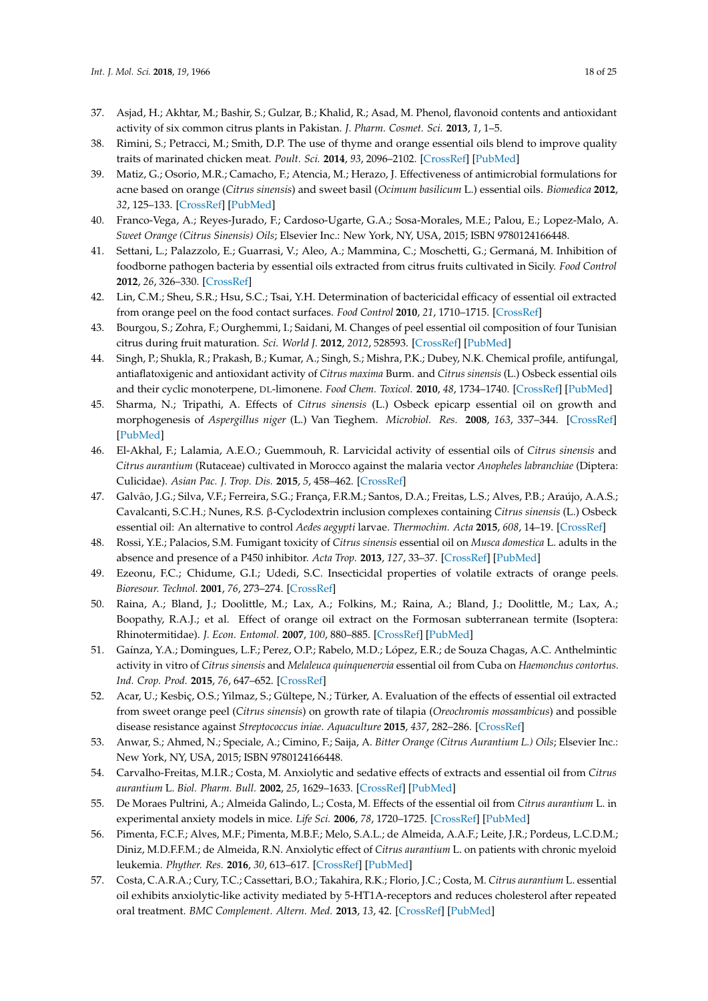- <span id="page-17-0"></span>37. Asjad, H.; Akhtar, M.; Bashir, S.; Gulzar, B.; Khalid, R.; Asad, M. Phenol, flavonoid contents and antioxidant activity of six common citrus plants in Pakistan. *J. Pharm. Cosmet. Sci.* **2013**, *1*, 1–5.
- <span id="page-17-1"></span>38. Rimini, S.; Petracci, M.; Smith, D.P. The use of thyme and orange essential oils blend to improve quality traits of marinated chicken meat. *Poult. Sci.* **2014**, *93*, 2096–2102. [\[CrossRef\]](http://dx.doi.org/10.3382/ps.2013-03601) [\[PubMed\]](http://www.ncbi.nlm.nih.gov/pubmed/24902698)
- <span id="page-17-2"></span>39. Matiz, G.; Osorio, M.R.; Camacho, F.; Atencia, M.; Herazo, J. Effectiveness of antimicrobial formulations for acne based on orange (*Citrus sinensis*) and sweet basil (*Ocimum basilicum* L.) essential oils. *Biomedica* **2012**, *32*, 125–133. [\[CrossRef\]](http://dx.doi.org/10.7705/biomedica.v32i1.614) [\[PubMed\]](http://www.ncbi.nlm.nih.gov/pubmed/23235794)
- <span id="page-17-3"></span>40. Franco-Vega, A.; Reyes-Jurado, F.; Cardoso-Ugarte, G.A.; Sosa-Morales, M.E.; Palou, E.; Lopez-Malo, A. *Sweet Orange (Citrus Sinensis) Oils*; Elsevier Inc.: New York, NY, USA, 2015; ISBN 9780124166448.
- 41. Settani, L.; Palazzolo, E.; Guarrasi, V.; Aleo, A.; Mammina, C.; Moschetti, G.; Germaná, M. Inhibition of foodborne pathogen bacteria by essential oils extracted from citrus fruits cultivated in Sicily. *Food Control* **2012**, *26*, 326–330. [\[CrossRef\]](http://dx.doi.org/10.1016/j.foodcont.2012.01.050)
- 42. Lin, C.M.; Sheu, S.R.; Hsu, S.C.; Tsai, Y.H. Determination of bactericidal efficacy of essential oil extracted from orange peel on the food contact surfaces. *Food Control* **2010**, *21*, 1710–1715. [\[CrossRef\]](http://dx.doi.org/10.1016/j.foodcont.2010.06.008)
- <span id="page-17-4"></span>43. Bourgou, S.; Zohra, F.; Ourghemmi, I.; Saidani, M. Changes of peel essential oil composition of four Tunisian citrus during fruit maturation. *Sci. World J.* **2012**, *2012*, 528593. [\[CrossRef\]](http://dx.doi.org/10.1100/2012/528593) [\[PubMed\]](http://www.ncbi.nlm.nih.gov/pubmed/22645427)
- <span id="page-17-5"></span>44. Singh, P.; Shukla, R.; Prakash, B.; Kumar, A.; Singh, S.; Mishra, P.K.; Dubey, N.K. Chemical profile, antifungal, antiaflatoxigenic and antioxidant activity of *Citrus maxima* Burm. and *Citrus sinensis* (L.) Osbeck essential oils and their cyclic monoterpene, DL-limonene. *Food Chem. Toxicol.* **2010**, *48*, 1734–1740. [\[CrossRef\]](http://dx.doi.org/10.1016/j.fct.2010.04.001) [\[PubMed\]](http://www.ncbi.nlm.nih.gov/pubmed/20385194)
- <span id="page-17-6"></span>45. Sharma, N.; Tripathi, A. Effects of *Citrus sinensis* (L.) Osbeck epicarp essential oil on growth and morphogenesis of *Aspergillus niger* (L.) Van Tieghem. *Microbiol. Res.* **2008**, *163*, 337–344. [\[CrossRef\]](http://dx.doi.org/10.1016/j.micres.2006.06.009) [\[PubMed\]](http://www.ncbi.nlm.nih.gov/pubmed/16870411)
- <span id="page-17-7"></span>46. El-Akhal, F.; Lalamia, A.E.O.; Guemmouh, R. Larvicidal activity of essential oils of *Citrus sinensis* and *Citrus aurantium* (Rutaceae) cultivated in Morocco against the malaria vector *Anopheles labranchiae* (Diptera: Culicidae). *Asian Pac. J. Trop. Dis.* **2015**, *5*, 458–462. [\[CrossRef\]](http://dx.doi.org/10.1016/S2222-1808(15)60815-5)
- <span id="page-17-8"></span>47. Galvão, J.G.; Silva, V.F.; Ferreira, S.G.; França, F.R.M.; Santos, D.A.; Freitas, L.S.; Alves, P.B.; Araújo, A.A.S.; Cavalcanti, S.C.H.; Nunes, R.S. β-Cyclodextrin inclusion complexes containing *Citrus sinensis* (L.) Osbeck essential oil: An alternative to control *Aedes aegypti* larvae. *Thermochim. Acta* **2015**, *608*, 14–19. [\[CrossRef\]](http://dx.doi.org/10.1016/j.tca.2015.04.001)
- <span id="page-17-9"></span>48. Rossi, Y.E.; Palacios, S.M. Fumigant toxicity of *Citrus sinensis* essential oil on *Musca domestica* L. adults in the absence and presence of a P450 inhibitor. *Acta Trop.* **2013**, *127*, 33–37. [\[CrossRef\]](http://dx.doi.org/10.1016/j.actatropica.2013.03.009) [\[PubMed\]](http://www.ncbi.nlm.nih.gov/pubmed/23545130)
- <span id="page-17-17"></span>49. Ezeonu, F.C.; Chidume, G.I.; Udedi, S.C. Insecticidal properties of volatile extracts of orange peels. *Bioresour. Technol.* **2001**, *76*, 273–274. [\[CrossRef\]](http://dx.doi.org/10.1016/S0960-8524(00)00120-6)
- <span id="page-17-10"></span>50. Raina, A.; Bland, J.; Doolittle, M.; Lax, A.; Folkins, M.; Raina, A.; Bland, J.; Doolittle, M.; Lax, A.; Boopathy, R.A.J.; et al. Effect of orange oil extract on the Formosan subterranean termite (Isoptera: Rhinotermitidae). *J. Econ. Entomol.* **2007**, *100*, 880–885. [\[CrossRef\]](http://dx.doi.org/10.1093/jee/100.3.880) [\[PubMed\]](http://www.ncbi.nlm.nih.gov/pubmed/17598551)
- <span id="page-17-11"></span>51. Gaínza, Y.A.; Domingues, L.F.; Perez, O.P.; Rabelo, M.D.; López, E.R.; de Souza Chagas, A.C. Anthelmintic activity in vitro of *Citrus sinensis* and *Melaleuca quinquenervia* essential oil from Cuba on *Haemonchus contortus*. *Ind. Crop. Prod.* **2015**, *76*, 647–652. [\[CrossRef\]](http://dx.doi.org/10.1016/j.indcrop.2015.07.056)
- <span id="page-17-12"></span>52. Acar, U.; Kesbiç, O.S.; Yilmaz, S.; Gültepe, N.; Türker, A. Evaluation of the effects of essential oil extracted from sweet orange peel (*Citrus sinensis*) on growth rate of tilapia (*Oreochromis mossambicus*) and possible disease resistance against *Streptococcus iniae*. *Aquaculture* **2015**, *437*, 282–286. [\[CrossRef\]](http://dx.doi.org/10.1016/j.aquaculture.2014.12.015)
- <span id="page-17-13"></span>53. Anwar, S.; Ahmed, N.; Speciale, A.; Cimino, F.; Saija, A. *Bitter Orange (Citrus Aurantium L.) Oils*; Elsevier Inc.: New York, NY, USA, 2015; ISBN 9780124166448.
- <span id="page-17-14"></span>54. Carvalho-Freitas, M.I.R.; Costa, M. Anxiolytic and sedative effects of extracts and essential oil from *Citrus aurantium* L. *Biol. Pharm. Bull.* **2002**, *25*, 1629–1633. [\[CrossRef\]](http://dx.doi.org/10.1248/bpb.25.1629) [\[PubMed\]](http://www.ncbi.nlm.nih.gov/pubmed/12499653)
- <span id="page-17-15"></span>55. De Moraes Pultrini, A.; Almeida Galindo, L.; Costa, M. Effects of the essential oil from *Citrus aurantium* L. in experimental anxiety models in mice. *Life Sci.* **2006**, *78*, 1720–1725. [\[CrossRef\]](http://dx.doi.org/10.1016/j.lfs.2005.08.004) [\[PubMed\]](http://www.ncbi.nlm.nih.gov/pubmed/16253279)
- <span id="page-17-18"></span>56. Pimenta, F.C.F.; Alves, M.F.; Pimenta, M.B.F.; Melo, S.A.L.; de Almeida, A.A.F.; Leite, J.R.; Pordeus, L.C.D.M.; Diniz, M.D.F.F.M.; de Almeida, R.N. Anxiolytic effect of *Citrus aurantium* L. on patients with chronic myeloid leukemia. *Phyther. Res.* **2016**, *30*, 613–617. [\[CrossRef\]](http://dx.doi.org/10.1002/ptr.5566) [\[PubMed\]](http://www.ncbi.nlm.nih.gov/pubmed/26787366)
- <span id="page-17-16"></span>57. Costa, C.A.R.A.; Cury, T.C.; Cassettari, B.O.; Takahira, R.K.; Florio, J.C.; Costa, M. *Citrus aurantium* L. essential oil exhibits anxiolytic-like activity mediated by 5-HT1A-receptors and reduces cholesterol after repeated oral treatment. *BMC Complement. Altern. Med.* **2013**, *13*, 42. [\[CrossRef\]](http://dx.doi.org/10.1186/1472-6882-13-42) [\[PubMed\]](http://www.ncbi.nlm.nih.gov/pubmed/23432968)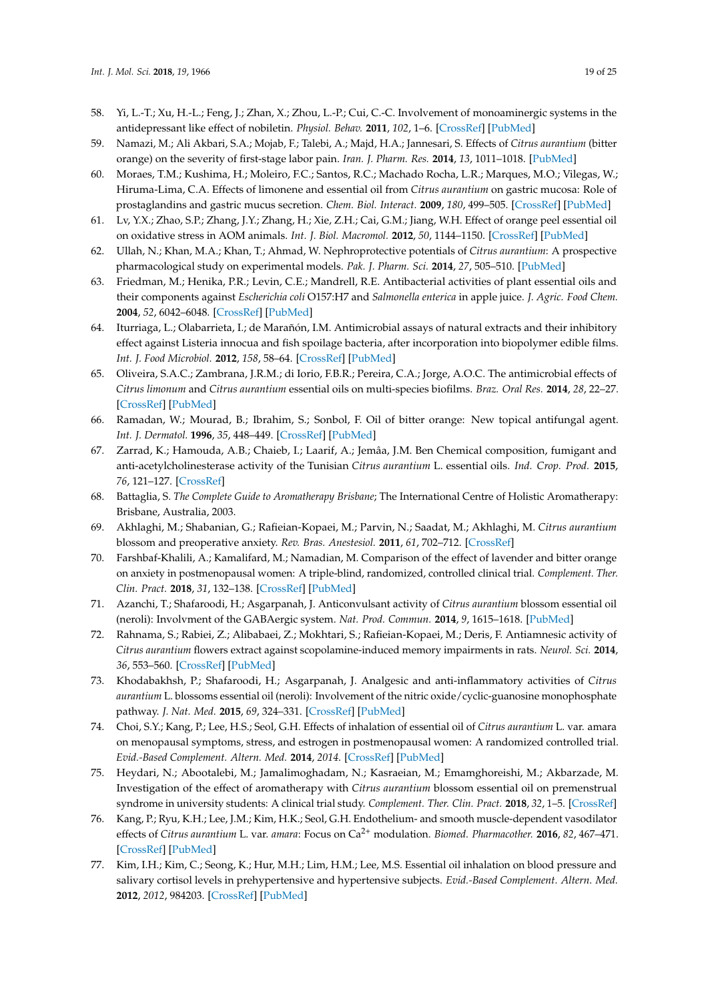- <span id="page-18-0"></span>58. Yi, L.-T.; Xu, H.-L.; Feng, J.; Zhan, X.; Zhou, L.-P.; Cui, C.-C. Involvement of monoaminergic systems in the antidepressant like effect of nobiletin. *Physiol. Behav.* **2011**, *102*, 1–6. [\[CrossRef\]](http://dx.doi.org/10.1016/j.physbeh.2010.10.008) [\[PubMed\]](http://www.ncbi.nlm.nih.gov/pubmed/20951716)
- <span id="page-18-1"></span>59. Namazi, M.; Ali Akbari, S.A.; Mojab, F.; Talebi, A.; Majd, H.A.; Jannesari, S. Effects of *Citrus aurantium* (bitter orange) on the severity of first-stage labor pain. *Iran. J. Pharm. Res.* **2014**, *13*, 1011–1018. [\[PubMed\]](http://www.ncbi.nlm.nih.gov/pubmed/25276203)
- <span id="page-18-2"></span>60. Moraes, T.M.; Kushima, H.; Moleiro, F.C.; Santos, R.C.; Machado Rocha, L.R.; Marques, M.O.; Vilegas, W.; Hiruma-Lima, C.A. Effects of limonene and essential oil from *Citrus aurantium* on gastric mucosa: Role of prostaglandins and gastric mucus secretion. *Chem. Biol. Interact.* **2009**, *180*, 499–505. [\[CrossRef\]](http://dx.doi.org/10.1016/j.cbi.2009.04.006) [\[PubMed\]](http://www.ncbi.nlm.nih.gov/pubmed/19410566)
- <span id="page-18-3"></span>61. Lv, Y.X.; Zhao, S.P.; Zhang, J.Y.; Zhang, H.; Xie, Z.H.; Cai, G.M.; Jiang, W.H. Effect of orange peel essential oil on oxidative stress in AOM animals. *Int. J. Biol. Macromol.* **2012**, *50*, 1144–1150. [\[CrossRef\]](http://dx.doi.org/10.1016/j.ijbiomac.2012.02.002) [\[PubMed\]](http://www.ncbi.nlm.nih.gov/pubmed/22342737)
- <span id="page-18-4"></span>62. Ullah, N.; Khan, M.A.; Khan, T.; Ahmad, W. Nephroprotective potentials of *Citrus aurantium*: A prospective pharmacological study on experimental models. *Pak. J. Pharm. Sci.* **2014**, *27*, 505–510. [\[PubMed\]](http://www.ncbi.nlm.nih.gov/pubmed/24811809)
- <span id="page-18-5"></span>63. Friedman, M.; Henika, P.R.; Levin, C.E.; Mandrell, R.E. Antibacterial activities of plant essential oils and their components against *Escherichia coli* O157:H7 and *Salmonella enterica* in apple juice. *J. Agric. Food Chem.* **2004**, *52*, 6042–6048. [\[CrossRef\]](http://dx.doi.org/10.1021/jf0495340) [\[PubMed\]](http://www.ncbi.nlm.nih.gov/pubmed/15366861)
- <span id="page-18-19"></span>64. Iturriaga, L.; Olabarrieta, I.; de Marañón, I.M. Antimicrobial assays of natural extracts and their inhibitory effect against Listeria innocua and fish spoilage bacteria, after incorporation into biopolymer edible films. *Int. J. Food Microbiol.* **2012**, *158*, 58–64. [\[CrossRef\]](http://dx.doi.org/10.1016/j.ijfoodmicro.2012.07.001) [\[PubMed\]](http://www.ncbi.nlm.nih.gov/pubmed/22824340)
- <span id="page-18-6"></span>65. Oliveira, S.A.C.; Zambrana, J.R.M.; di Iorio, F.B.R.; Pereira, C.A.; Jorge, A.O.C. The antimicrobial effects of *Citrus limonum* and *Citrus aurantium* essential oils on multi-species biofilms. *Braz. Oral Res.* **2014**, *28*, 22–27. [\[CrossRef\]](http://dx.doi.org/10.1590/S1806-83242013005000024) [\[PubMed\]](http://www.ncbi.nlm.nih.gov/pubmed/25000605)
- <span id="page-18-7"></span>66. Ramadan, W.; Mourad, B.; Ibrahim, S.; Sonbol, F. Oil of bitter orange: New topical antifungal agent. *Int. J. Dermatol.* **1996**, *35*, 448–449. [\[CrossRef\]](http://dx.doi.org/10.1111/j.1365-4362.1996.tb03032.x) [\[PubMed\]](http://www.ncbi.nlm.nih.gov/pubmed/8737885)
- <span id="page-18-8"></span>67. Zarrad, K.; Hamouda, A.B.; Chaieb, I.; Laarif, A.; Jemâa, J.M. Ben Chemical composition, fumigant and anti-acetylcholinesterase activity of the Tunisian *Citrus aurantium* L. essential oils. *Ind. Crop. Prod.* **2015**, *76*, 121–127. [\[CrossRef\]](http://dx.doi.org/10.1016/j.indcrop.2015.06.039)
- <span id="page-18-9"></span>68. Battaglia, S. *The Complete Guide to Aromatherapy Brisbane*; The International Centre of Holistic Aromatherapy: Brisbane, Australia, 2003.
- <span id="page-18-10"></span>69. Akhlaghi, M.; Shabanian, G.; Rafieian-Kopaei, M.; Parvin, N.; Saadat, M.; Akhlaghi, M. *Citrus aurantium* blossom and preoperative anxiety. *Rev. Bras. Anestesiol.* **2011**, *61*, 702–712. [\[CrossRef\]](http://dx.doi.org/10.1016/S0034-7094(11)70079-4)
- <span id="page-18-11"></span>70. Farshbaf-Khalili, A.; Kamalifard, M.; Namadian, M. Comparison of the effect of lavender and bitter orange on anxiety in postmenopausal women: A triple-blind, randomized, controlled clinical trial. *Complement. Ther. Clin. Pract.* **2018**, *31*, 132–138. [\[CrossRef\]](http://dx.doi.org/10.1016/j.ctcp.2018.02.004) [\[PubMed\]](http://www.ncbi.nlm.nih.gov/pubmed/29705445)
- <span id="page-18-12"></span>71. Azanchi, T.; Shafaroodi, H.; Asgarpanah, J. Anticonvulsant activity of *Citrus aurantium* blossom essential oil (neroli): Involvment of the GABAergic system. *Nat. Prod. Commun.* **2014**, *9*, 1615–1618. [\[PubMed\]](http://www.ncbi.nlm.nih.gov/pubmed/25532295)
- <span id="page-18-13"></span>72. Rahnama, S.; Rabiei, Z.; Alibabaei, Z.; Mokhtari, S.; Rafieian-Kopaei, M.; Deris, F. Antiamnesic activity of *Citrus aurantium* flowers extract against scopolamine-induced memory impairments in rats. *Neurol. Sci.* **2014**, *36*, 553–560. [\[CrossRef\]](http://dx.doi.org/10.1007/s10072-014-1991-2) [\[PubMed\]](http://www.ncbi.nlm.nih.gov/pubmed/25367404)
- <span id="page-18-14"></span>73. Khodabakhsh, P.; Shafaroodi, H.; Asgarpanah, J. Analgesic and anti-inflammatory activities of *Citrus aurantium* L. blossoms essential oil (neroli): Involvement of the nitric oxide/cyclic-guanosine monophosphate pathway. *J. Nat. Med.* **2015**, *69*, 324–331. [\[CrossRef\]](http://dx.doi.org/10.1007/s11418-015-0896-6) [\[PubMed\]](http://www.ncbi.nlm.nih.gov/pubmed/25762161)
- <span id="page-18-15"></span>74. Choi, S.Y.; Kang, P.; Lee, H.S.; Seol, G.H. Effects of inhalation of essential oil of *Citrus aurantium* L. var. amara on menopausal symptoms, stress, and estrogen in postmenopausal women: A randomized controlled trial. *Evid.-Based Complement. Altern. Med.* **2014**, *2014*. [\[CrossRef\]](http://dx.doi.org/10.1155/2014/796518) [\[PubMed\]](http://www.ncbi.nlm.nih.gov/pubmed/25024731)
- <span id="page-18-16"></span>75. Heydari, N.; Abootalebi, M.; Jamalimoghadam, N.; Kasraeian, M.; Emamghoreishi, M.; Akbarzade, M. Investigation of the effect of aromatherapy with *Citrus aurantium* blossom essential oil on premenstrual syndrome in university students: A clinical trial study. *Complement. Ther. Clin. Pract.* **2018**, *32*, 1–5. [\[CrossRef\]](http://dx.doi.org/10.1016/j.ctcp.2018.04.006)
- <span id="page-18-17"></span>76. Kang, P.; Ryu, K.H.; Lee, J.M.; Kim, H.K.; Seol, G.H. Endothelium- and smooth muscle-dependent vasodilator effects of *Citrus aurantium* L. var. *amara*: Focus on Ca2+ modulation. *Biomed. Pharmacother.* **2016**, *82*, 467–471. [\[CrossRef\]](http://dx.doi.org/10.1016/j.biopha.2016.05.030) [\[PubMed\]](http://www.ncbi.nlm.nih.gov/pubmed/27470386)
- <span id="page-18-18"></span>77. Kim, I.H.; Kim, C.; Seong, K.; Hur, M.H.; Lim, H.M.; Lee, M.S. Essential oil inhalation on blood pressure and salivary cortisol levels in prehypertensive and hypertensive subjects. *Evid.-Based Complement. Altern. Med.* **2012**, *2012*, 984203. [\[CrossRef\]](http://dx.doi.org/10.1155/2012/984203) [\[PubMed\]](http://www.ncbi.nlm.nih.gov/pubmed/23259002)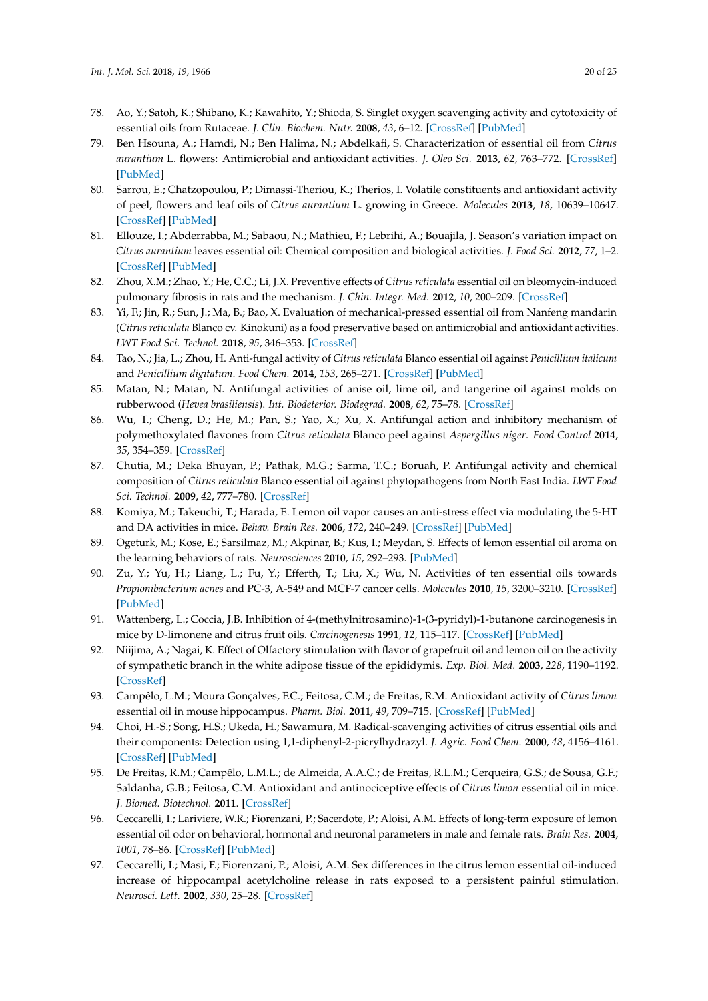- <span id="page-19-0"></span>78. Ao, Y.; Satoh, K.; Shibano, K.; Kawahito, Y.; Shioda, S. Singlet oxygen scavenging activity and cytotoxicity of essential oils from Rutaceae. *J. Clin. Biochem. Nutr.* **2008**, *43*, 6–12. [\[CrossRef\]](http://dx.doi.org/10.3164/jcbn.2008037) [\[PubMed\]](http://www.ncbi.nlm.nih.gov/pubmed/18648659)
- <span id="page-19-1"></span>79. Ben Hsouna, A.; Hamdi, N.; Ben Halima, N.; Abdelkafi, S. Characterization of essential oil from *Citrus aurantium* L. flowers: Antimicrobial and antioxidant activities. *J. Oleo Sci.* **2013**, *62*, 763–772. [\[CrossRef\]](http://dx.doi.org/10.5650/jos.62.763) [\[PubMed\]](http://www.ncbi.nlm.nih.gov/pubmed/24088513)
- <span id="page-19-2"></span>80. Sarrou, E.; Chatzopoulou, P.; Dimassi-Theriou, K.; Therios, I. Volatile constituents and antioxidant activity of peel, flowers and leaf oils of *Citrus aurantium* L. growing in Greece. *Molecules* **2013**, *18*, 10639–10647. [\[CrossRef\]](http://dx.doi.org/10.3390/molecules180910639) [\[PubMed\]](http://www.ncbi.nlm.nih.gov/pubmed/24002139)
- <span id="page-19-3"></span>81. Ellouze, I.; Abderrabba, M.; Sabaou, N.; Mathieu, F.; Lebrihi, A.; Bouajila, J. Season's variation impact on *Citrus aurantium* leaves essential oil: Chemical composition and biological activities. *J. Food Sci.* **2012**, *77*, 1–2. [\[CrossRef\]](http://dx.doi.org/10.1111/j.1750-3841.2012.02846.x) [\[PubMed\]](http://www.ncbi.nlm.nih.gov/pubmed/22897411)
- <span id="page-19-4"></span>82. Zhou, X.M.; Zhao, Y.; He, C.C.; Li, J.X. Preventive effects of *Citrus reticulata* essential oil on bleomycin-induced pulmonary fibrosis in rats and the mechanism. *J. Chin. Integr. Med.* **2012**, *10*, 200–209. [\[CrossRef\]](http://dx.doi.org/10.3736/jcim20120211)
- <span id="page-19-5"></span>83. Yi, F.; Jin, R.; Sun, J.; Ma, B.; Bao, X. Evaluation of mechanical-pressed essential oil from Nanfeng mandarin (*Citrus reticulata* Blanco cv. Kinokuni) as a food preservative based on antimicrobial and antioxidant activities. *LWT Food Sci. Technol.* **2018**, *95*, 346–353. [\[CrossRef\]](http://dx.doi.org/10.1016/j.lwt.2018.05.011)
- <span id="page-19-6"></span>84. Tao, N.; Jia, L.; Zhou, H. Anti-fungal activity of *Citrus reticulata* Blanco essential oil against *Penicillium italicum* and *Penicillium digitatum*. *Food Chem.* **2014**, *153*, 265–271. [\[CrossRef\]](http://dx.doi.org/10.1016/j.foodchem.2013.12.070) [\[PubMed\]](http://www.ncbi.nlm.nih.gov/pubmed/24491729)
- 85. Matan, N.; Matan, N. Antifungal activities of anise oil, lime oil, and tangerine oil against molds on rubberwood (*Hevea brasiliensis*). *Int. Biodeterior. Biodegrad.* **2008**, *62*, 75–78. [\[CrossRef\]](http://dx.doi.org/10.1016/j.ibiod.2007.07.014)
- 86. Wu, T.; Cheng, D.; He, M.; Pan, S.; Yao, X.; Xu, X. Antifungal action and inhibitory mechanism of polymethoxylated flavones from *Citrus reticulata* Blanco peel against *Aspergillus niger*. *Food Control* **2014**, *35*, 354–359. [\[CrossRef\]](http://dx.doi.org/10.1016/j.foodcont.2013.07.027)
- <span id="page-19-7"></span>87. Chutia, M.; Deka Bhuyan, P.; Pathak, M.G.; Sarma, T.C.; Boruah, P. Antifungal activity and chemical composition of *Citrus reticulata* Blanco essential oil against phytopathogens from North East India. *LWT Food Sci. Technol.* **2009**, *42*, 777–780. [\[CrossRef\]](http://dx.doi.org/10.1016/j.lwt.2008.09.015)
- <span id="page-19-8"></span>88. Komiya, M.; Takeuchi, T.; Harada, E. Lemon oil vapor causes an anti-stress effect via modulating the 5-HT and DA activities in mice. *Behav. Brain Res.* **2006**, *172*, 240–249. [\[CrossRef\]](http://dx.doi.org/10.1016/j.bbr.2006.05.006) [\[PubMed\]](http://www.ncbi.nlm.nih.gov/pubmed/16780969)
- <span id="page-19-9"></span>89. Ogeturk, M.; Kose, E.; Sarsilmaz, M.; Akpinar, B.; Kus, I.; Meydan, S. Effects of lemon essential oil aroma on the learning behaviors of rats. *Neurosciences* **2010**, *15*, 292–293. [\[PubMed\]](http://www.ncbi.nlm.nih.gov/pubmed/20956933)
- <span id="page-19-10"></span>90. Zu, Y.; Yu, H.; Liang, L.; Fu, Y.; Efferth, T.; Liu, X.; Wu, N. Activities of ten essential oils towards *Propionibacterium acnes* and PC-3, A-549 and MCF-7 cancer cells. *Molecules* **2010**, *15*, 3200–3210. [\[CrossRef\]](http://dx.doi.org/10.3390/molecules15053200) [\[PubMed\]](http://www.ncbi.nlm.nih.gov/pubmed/20657472)
- <span id="page-19-11"></span>91. Wattenberg, L.; Coccia, J.B. Inhibition of 4-(methylnitrosamino)-1-(3-pyridyl)-1-butanone carcinogenesis in mice by D-limonene and citrus fruit oils. *Carcinogenesis* **1991**, *12*, 115–117. [\[CrossRef\]](http://dx.doi.org/10.1093/carcin/12.1.115) [\[PubMed\]](http://www.ncbi.nlm.nih.gov/pubmed/1988170)
- <span id="page-19-12"></span>92. Niijima, A.; Nagai, K. Effect of Olfactory stimulation with flavor of grapefruit oil and lemon oil on the activity of sympathetic branch in the white adipose tissue of the epididymis. *Exp. Biol. Med.* **2003**, *228*, 1190–1192. [\[CrossRef\]](http://dx.doi.org/10.1177/153537020322801014)
- <span id="page-19-13"></span>93. Campêlo, L.M.; Moura Gonçalves, F.C.; Feitosa, C.M.; de Freitas, R.M. Antioxidant activity of *Citrus limon* essential oil in mouse hippocampus. *Pharm. Biol.* **2011**, *49*, 709–715. [\[CrossRef\]](http://dx.doi.org/10.3109/13880209.2010.541924) [\[PubMed\]](http://www.ncbi.nlm.nih.gov/pubmed/21639684)
- <span id="page-19-14"></span>94. Choi, H.-S.; Song, H.S.; Ukeda, H.; Sawamura, M. Radical-scavenging activities of citrus essential oils and their components: Detection using 1,1-diphenyl-2-picrylhydrazyl. *J. Agric. Food Chem.* **2000**, *48*, 4156–4161. [\[CrossRef\]](http://dx.doi.org/10.1021/jf000227d) [\[PubMed\]](http://www.ncbi.nlm.nih.gov/pubmed/10995330)
- <span id="page-19-15"></span>95. De Freitas, R.M.; Campêlo, L.M.L.; de Almeida, A.A.C.; de Freitas, R.L.M.; Cerqueira, G.S.; de Sousa, G.F.; Saldanha, G.B.; Feitosa, C.M. Antioxidant and antinociceptive effects of *Citrus limon* essential oil in mice. *J. Biomed. Biotechnol.* **2011**. [\[CrossRef\]](http://dx.doi.org/10.1155/2011/678673)
- <span id="page-19-16"></span>96. Ceccarelli, I.; Lariviere, W.R.; Fiorenzani, P.; Sacerdote, P.; Aloisi, A.M. Effects of long-term exposure of lemon essential oil odor on behavioral, hormonal and neuronal parameters in male and female rats. *Brain Res.* **2004**, *1001*, 78–86. [\[CrossRef\]](http://dx.doi.org/10.1016/j.brainres.2003.10.063) [\[PubMed\]](http://www.ncbi.nlm.nih.gov/pubmed/14972656)
- <span id="page-19-17"></span>97. Ceccarelli, I.; Masi, F.; Fiorenzani, P.; Aloisi, A.M. Sex differences in the citrus lemon essential oil-induced increase of hippocampal acetylcholine release in rats exposed to a persistent painful stimulation. *Neurosci. Lett.* **2002**, *330*, 25–28. [\[CrossRef\]](http://dx.doi.org/10.1016/S0304-3940(02)00717-6)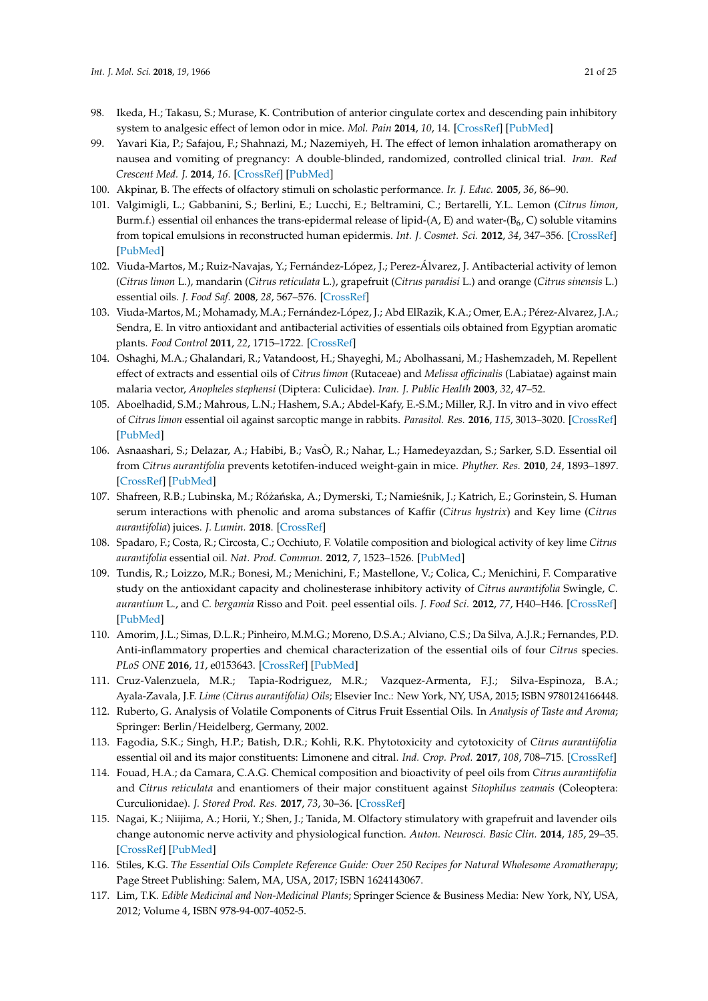- <span id="page-20-0"></span>98. Ikeda, H.; Takasu, S.; Murase, K. Contribution of anterior cingulate cortex and descending pain inhibitory system to analgesic effect of lemon odor in mice. *Mol. Pain* **2014**, *10*, 14. [\[CrossRef\]](http://dx.doi.org/10.1186/1744-8069-10-14) [\[PubMed\]](http://www.ncbi.nlm.nih.gov/pubmed/24555533)
- <span id="page-20-1"></span>99. Yavari Kia, P.; Safajou, F.; Shahnazi, M.; Nazemiyeh, H. The effect of lemon inhalation aromatherapy on nausea and vomiting of pregnancy: A double-blinded, randomized, controlled clinical trial. *Iran. Red Crescent Med. J.* **2014**, *16*. [\[CrossRef\]](http://dx.doi.org/10.5812/ircmj.14360) [\[PubMed\]](http://www.ncbi.nlm.nih.gov/pubmed/24829772)
- <span id="page-20-2"></span>100. Akpinar, B. The effects of olfactory stimuli on scholastic performance. *Ir. J. Educ.* **2005**, *36*, 86–90.
- <span id="page-20-3"></span>101. Valgimigli, L.; Gabbanini, S.; Berlini, E.; Lucchi, E.; Beltramini, C.; Bertarelli, Y.L. Lemon (*Citrus limon*, Burm.f.) essential oil enhances the trans-epidermal release of lipid-(A, E) and water-(B<sub>6</sub>, C) soluble vitamins from topical emulsions in reconstructed human epidermis. *Int. J. Cosmet. Sci.* **2012**, *34*, 347–356. [\[CrossRef\]](http://dx.doi.org/10.1111/j.1468-2494.2012.00725.x) [\[PubMed\]](http://www.ncbi.nlm.nih.gov/pubmed/22515469)
- <span id="page-20-4"></span>102. Viuda-Martos, M.; Ruiz-Navajas, Y.; Fernández-López, J.; Perez-Álvarez, J. Antibacterial activity of lemon (*Citrus limon* L.), mandarin (*Citrus reticulata* L.), grapefruit (*Citrus paradisi* L.) and orange (*Citrus sinensis* L.) essential oils. *J. Food Saf.* **2008**, *28*, 567–576. [\[CrossRef\]](http://dx.doi.org/10.1111/j.1745-4565.2008.00131.x)
- <span id="page-20-5"></span>103. Viuda-Martos, M.; Mohamady, M.A.; Fernández-López, J.; Abd ElRazik, K.A.; Omer, E.A.; Pérez-Alvarez, J.A.; Sendra, E. In vitro antioxidant and antibacterial activities of essentials oils obtained from Egyptian aromatic plants. *Food Control* **2011**, *22*, 1715–1722. [\[CrossRef\]](http://dx.doi.org/10.1016/j.foodcont.2011.04.003)
- <span id="page-20-6"></span>104. Oshaghi, M.A.; Ghalandari, R.; Vatandoost, H.; Shayeghi, M.; Abolhassani, M.; Hashemzadeh, M. Repellent effect of extracts and essential oils of *Citrus limon* (Rutaceae) and *Melissa officinalis* (Labiatae) against main malaria vector, *Anopheles stephensi* (Diptera: Culicidae). *Iran. J. Public Health* **2003**, *32*, 47–52.
- <span id="page-20-7"></span>105. Aboelhadid, S.M.; Mahrous, L.N.; Hashem, S.A.; Abdel-Kafy, E.-S.M.; Miller, R.J. In vitro and in vivo effect of *Citrus limon* essential oil against sarcoptic mange in rabbits. *Parasitol. Res.* **2016**, *115*, 3013–3020. [\[CrossRef\]](http://dx.doi.org/10.1007/s00436-016-5056-8) [\[PubMed\]](http://www.ncbi.nlm.nih.gov/pubmed/27098160)
- <span id="page-20-8"></span>106. Asnaashari, S.; Delazar, A.; Habibi, B.; VasÒ, R.; Nahar, L.; Hamedeyazdan, S.; Sarker, S.D. Essential oil from *Citrus aurantifolia* prevents ketotifen-induced weight-gain in mice. *Phyther. Res.* **2010**, *24*, 1893–1897. [\[CrossRef\]](http://dx.doi.org/10.1002/ptr.3227) [\[PubMed\]](http://www.ncbi.nlm.nih.gov/pubmed/20623616)
- <span id="page-20-9"></span>107. Shafreen, R.B.; Lubinska, M.; Różańska, A.; Dymerski, T.; Namieśnik, J.; Katrich, E.; Gorinstein, S. Human serum interactions with phenolic and aroma substances of Kaffir (*Citrus hystrix*) and Key lime (*Citrus aurantifolia*) juices. *J. Lumin.* **2018**. [\[CrossRef\]](http://dx.doi.org/10.1016/j.jlumin.2018.04.010)
- <span id="page-20-10"></span>108. Spadaro, F.; Costa, R.; Circosta, C.; Occhiuto, F. Volatile composition and biological activity of key lime *Citrus aurantifolia* essential oil. *Nat. Prod. Commun.* **2012**, *7*, 1523–1526. [\[PubMed\]](http://www.ncbi.nlm.nih.gov/pubmed/23285822)
- <span id="page-20-11"></span>109. Tundis, R.; Loizzo, M.R.; Bonesi, M.; Menichini, F.; Mastellone, V.; Colica, C.; Menichini, F. Comparative study on the antioxidant capacity and cholinesterase inhibitory activity of *Citrus aurantifolia* Swingle, *C. aurantium* L., and *C. bergamia* Risso and Poit. peel essential oils. *J. Food Sci.* **2012**, *77*, H40–H46. [\[CrossRef\]](http://dx.doi.org/10.1111/j.1750-3841.2011.02511.x) [\[PubMed\]](http://www.ncbi.nlm.nih.gov/pubmed/22260108)
- <span id="page-20-12"></span>110. Amorim, J.L.; Simas, D.L.R.; Pinheiro, M.M.G.; Moreno, D.S.A.; Alviano, C.S.; Da Silva, A.J.R.; Fernandes, P.D. Anti-inflammatory properties and chemical characterization of the essential oils of four *Citrus* species. *PLoS ONE* **2016**, *11*, e0153643. [\[CrossRef\]](http://dx.doi.org/10.1371/journal.pone.0153643) [\[PubMed\]](http://www.ncbi.nlm.nih.gov/pubmed/27088973)
- <span id="page-20-13"></span>111. Cruz-Valenzuela, M.R.; Tapia-Rodriguez, M.R.; Vazquez-Armenta, F.J.; Silva-Espinoza, B.A.; Ayala-Zavala, J.F. *Lime (Citrus aurantifolia) Oils*; Elsevier Inc.: New York, NY, USA, 2015; ISBN 9780124166448.
- <span id="page-20-14"></span>112. Ruberto, G. Analysis of Volatile Components of Citrus Fruit Essential Oils. In *Analysis of Taste and Aroma*; Springer: Berlin/Heidelberg, Germany, 2002.
- <span id="page-20-15"></span>113. Fagodia, S.K.; Singh, H.P.; Batish, D.R.; Kohli, R.K. Phytotoxicity and cytotoxicity of *Citrus aurantiifolia* essential oil and its major constituents: Limonene and citral. *Ind. Crop. Prod.* **2017**, *108*, 708–715. [\[CrossRef\]](http://dx.doi.org/10.1016/j.indcrop.2017.07.005)
- <span id="page-20-16"></span>114. Fouad, H.A.; da Camara, C.A.G. Chemical composition and bioactivity of peel oils from *Citrus aurantiifolia* and *Citrus reticulata* and enantiomers of their major constituent against *Sitophilus zeamais* (Coleoptera: Curculionidae). *J. Stored Prod. Res.* **2017**, *73*, 30–36. [\[CrossRef\]](http://dx.doi.org/10.1016/j.jspr.2017.06.001)
- <span id="page-20-17"></span>115. Nagai, K.; Niijima, A.; Horii, Y.; Shen, J.; Tanida, M. Olfactory stimulatory with grapefruit and lavender oils change autonomic nerve activity and physiological function. *Auton. Neurosci. Basic Clin.* **2014**, *185*, 29–35. [\[CrossRef\]](http://dx.doi.org/10.1016/j.autneu.2014.06.005) [\[PubMed\]](http://www.ncbi.nlm.nih.gov/pubmed/25002406)
- <span id="page-20-19"></span>116. Stiles, K.G. *The Essential Oils Complete Reference Guide: Over 250 Recipes for Natural Wholesome Aromatherapy*; Page Street Publishing: Salem, MA, USA, 2017; ISBN 1624143067.
- <span id="page-20-18"></span>117. Lim, T.K. *Edible Medicinal and Non-Medicinal Plants*; Springer Science & Business Media: New York, NY, USA, 2012; Volume 4, ISBN 978-94-007-4052-5.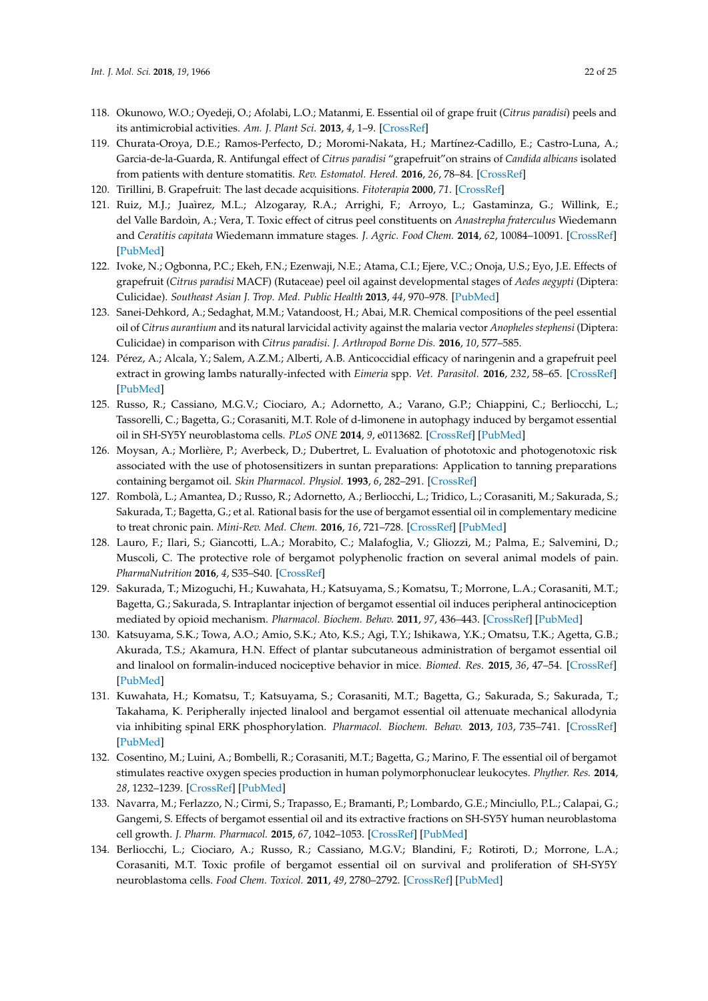- <span id="page-21-0"></span>118. Okunowo, W.O.; Oyedeji, O.; Afolabi, L.O.; Matanmi, E. Essential oil of grape fruit (*Citrus paradisi*) peels and its antimicrobial activities. *Am. J. Plant Sci.* **2013**, *4*, 1–9. [\[CrossRef\]](http://dx.doi.org/10.4236/ajps.2013.47A2001)
- <span id="page-21-1"></span>119. Churata-Oroya, D.E.; Ramos-Perfecto, D.; Moromi-Nakata, H.; Martínez-Cadillo, E.; Castro-Luna, A.; Garcia-de-la-Guarda, R. Antifungal effect of *Citrus paradisi* "grapefruit"on strains of *Candida albicans* isolated from patients with denture stomatitis. *Rev. Estomatol. Hered.* **2016**, *26*, 78–84. [\[CrossRef\]](http://dx.doi.org/10.20453/reh.v26i2.2869)
- <span id="page-21-2"></span>120. Tirillini, B. Grapefruit: The last decade acquisitions. *Fitoterapia* **2000**, *71*. [\[CrossRef\]](http://dx.doi.org/10.1016/S0367-326X(00)00176-3)
- <span id="page-21-3"></span>121. Ruiz, M.J.; Juaìrez, M.L.; Alzogaray, R.A.; Arrighi, F.; Arroyo, L.; Gastaminza, G.; Willink, E.; del Valle Bardoìn, A.; Vera, T. Toxic effect of citrus peel constituents on *Anastrepha fraterculus* Wiedemann and *Ceratitis capitata* Wiedemann immature stages. *J. Agric. Food Chem.* **2014**, *62*, 10084–10091. [\[CrossRef\]](http://dx.doi.org/10.1021/jf503063b) [\[PubMed\]](http://www.ncbi.nlm.nih.gov/pubmed/25237738)
- <span id="page-21-13"></span>122. Ivoke, N.; Ogbonna, P.C.; Ekeh, F.N.; Ezenwaji, N.E.; Atama, C.I.; Ejere, V.C.; Onoja, U.S.; Eyo, J.E. Effects of grapefruit (*Citrus paradisi* MACF) (Rutaceae) peel oil against developmental stages of *Aedes aegypti* (Diptera: Culicidae). *Southeast Asian J. Trop. Med. Public Health* **2013**, *44*, 970–978. [\[PubMed\]](http://www.ncbi.nlm.nih.gov/pubmed/24450234)
- <span id="page-21-14"></span>123. Sanei-Dehkord, A.; Sedaghat, M.M.; Vatandoost, H.; Abai, M.R. Chemical compositions of the peel essential oil of *Citrus aurantium* and its natural larvicidal activity against the malaria vector *Anopheles stephensi* (Diptera: Culicidae) in comparison with *Citrus paradisi*. *J. Arthropod Borne Dis.* **2016**, *10*, 577–585.
- <span id="page-21-4"></span>124. Pérez, A.; Alcala, Y.; Salem, A.Z.M.; Alberti, A.B. Anticoccidial efficacy of naringenin and a grapefruit peel extract in growing lambs naturally-infected with *Eimeria* spp. *Vet. Parasitol.* **2016**, *232*, 58–65. [\[CrossRef\]](http://dx.doi.org/10.1016/j.vetpar.2016.11.009) [\[PubMed\]](http://www.ncbi.nlm.nih.gov/pubmed/27890083)
- <span id="page-21-5"></span>125. Russo, R.; Cassiano, M.G.V.; Ciociaro, A.; Adornetto, A.; Varano, G.P.; Chiappini, C.; Berliocchi, L.; Tassorelli, C.; Bagetta, G.; Corasaniti, M.T. Role of d-limonene in autophagy induced by bergamot essential oil in SH-SY5Y neuroblastoma cells. *PLoS ONE* **2014**, *9*, e0113682. [\[CrossRef\]](http://dx.doi.org/10.1371/journal.pone.0113682) [\[PubMed\]](http://www.ncbi.nlm.nih.gov/pubmed/25419658)
- <span id="page-21-6"></span>126. Moysan, A.; Morlière, P.; Averbeck, D.; Dubertret, L. Evaluation of phototoxic and photogenotoxic risk associated with the use of photosensitizers in suntan preparations: Application to tanning preparations containing bergamot oil. *Skin Pharmacol. Physiol.* **1993**, *6*, 282–291. [\[CrossRef\]](http://dx.doi.org/10.1159/000211151)
- <span id="page-21-7"></span>127. Rombolà, L.; Amantea, D.; Russo, R.; Adornetto, A.; Berliocchi, L.; Tridico, L.; Corasaniti, M.; Sakurada, S.; Sakurada, T.; Bagetta, G.; et al. Rational basis for the use of bergamot essential oil in complementary medicine to treat chronic pain. *Mini-Rev. Med. Chem.* **2016**, *16*, 721–728. [\[CrossRef\]](http://dx.doi.org/10.2174/1389557516666160321113913) [\[PubMed\]](http://www.ncbi.nlm.nih.gov/pubmed/26996621)
- 128. Lauro, F.; Ilari, S.; Giancotti, L.A.; Morabito, C.; Malafoglia, V.; Gliozzi, M.; Palma, E.; Salvemini, D.; Muscoli, C. The protective role of bergamot polyphenolic fraction on several animal models of pain. *PharmaNutrition* **2016**, *4*, S35–S40. [\[CrossRef\]](http://dx.doi.org/10.1016/j.phanu.2016.04.001)
- <span id="page-21-8"></span>129. Sakurada, T.; Mizoguchi, H.; Kuwahata, H.; Katsuyama, S.; Komatsu, T.; Morrone, L.A.; Corasaniti, M.T.; Bagetta, G.; Sakurada, S. Intraplantar injection of bergamot essential oil induces peripheral antinociception mediated by opioid mechanism. *Pharmacol. Biochem. Behav.* **2011**, *97*, 436–443. [\[CrossRef\]](http://dx.doi.org/10.1016/j.pbb.2010.09.020) [\[PubMed\]](http://www.ncbi.nlm.nih.gov/pubmed/20932858)
- <span id="page-21-9"></span>130. Katsuyama, S.K.; Towa, A.O.; Amio, S.K.; Ato, K.S.; Agi, T.Y.; Ishikawa, Y.K.; Omatsu, T.K.; Agetta, G.B.; Akurada, T.S.; Akamura, H.N. Effect of plantar subcutaneous administration of bergamot essential oil and linalool on formalin-induced nociceptive behavior in mice. *Biomed. Res.* **2015**, *36*, 47–54. [\[CrossRef\]](http://dx.doi.org/10.2220/biomedres.36.47) [\[PubMed\]](http://www.ncbi.nlm.nih.gov/pubmed/25749150)
- <span id="page-21-10"></span>131. Kuwahata, H.; Komatsu, T.; Katsuyama, S.; Corasaniti, M.T.; Bagetta, G.; Sakurada, S.; Sakurada, T.; Takahama, K. Peripherally injected linalool and bergamot essential oil attenuate mechanical allodynia via inhibiting spinal ERK phosphorylation. *Pharmacol. Biochem. Behav.* **2013**, *103*, 735–741. [\[CrossRef\]](http://dx.doi.org/10.1016/j.pbb.2012.11.003) [\[PubMed\]](http://www.ncbi.nlm.nih.gov/pubmed/23159543)
- <span id="page-21-11"></span>132. Cosentino, M.; Luini, A.; Bombelli, R.; Corasaniti, M.T.; Bagetta, G.; Marino, F. The essential oil of bergamot stimulates reactive oxygen species production in human polymorphonuclear leukocytes. *Phyther. Res.* **2014**, *28*, 1232–1239. [\[CrossRef\]](http://dx.doi.org/10.1002/ptr.5121) [\[PubMed\]](http://www.ncbi.nlm.nih.gov/pubmed/24458921)
- <span id="page-21-12"></span>133. Navarra, M.; Ferlazzo, N.; Cirmi, S.; Trapasso, E.; Bramanti, P.; Lombardo, G.E.; Minciullo, P.L.; Calapai, G.; Gangemi, S. Effects of bergamot essential oil and its extractive fractions on SH-SY5Y human neuroblastoma cell growth. *J. Pharm. Pharmacol.* **2015**, *67*, 1042–1053. [\[CrossRef\]](http://dx.doi.org/10.1111/jphp.12403) [\[PubMed\]](http://www.ncbi.nlm.nih.gov/pubmed/25808679)
- <span id="page-21-15"></span>134. Berliocchi, L.; Ciociaro, A.; Russo, R.; Cassiano, M.G.V.; Blandini, F.; Rotiroti, D.; Morrone, L.A.; Corasaniti, M.T. Toxic profile of bergamot essential oil on survival and proliferation of SH-SY5Y neuroblastoma cells. *Food Chem. Toxicol.* **2011**, *49*, 2780–2792. [\[CrossRef\]](http://dx.doi.org/10.1016/j.fct.2011.08.017) [\[PubMed\]](http://www.ncbi.nlm.nih.gov/pubmed/21878361)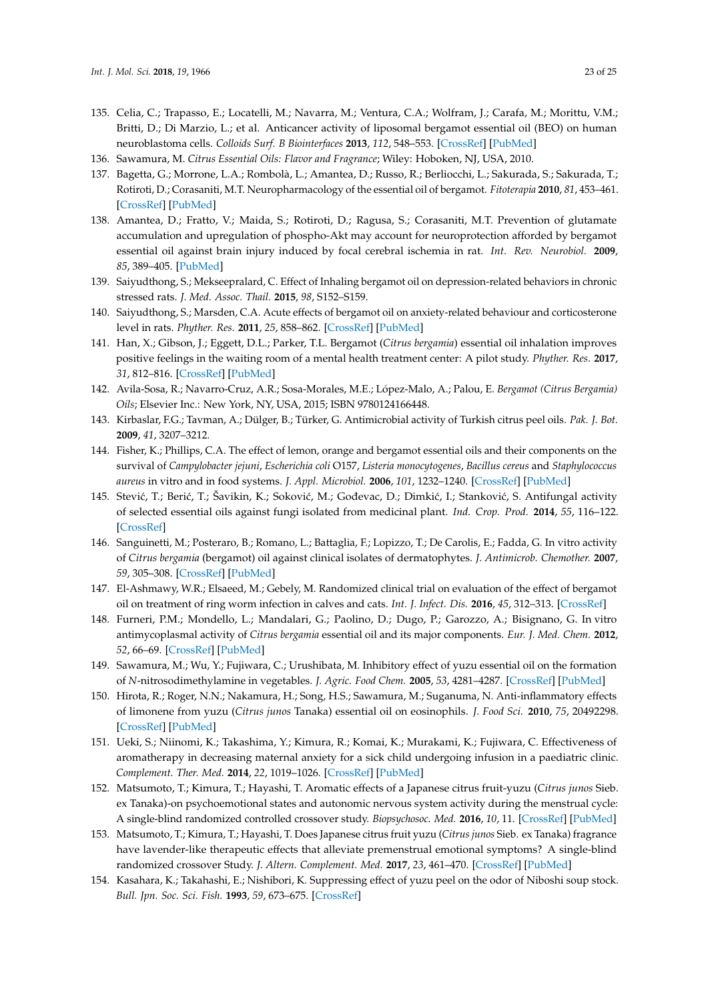- <span id="page-22-0"></span>135. Celia, C.; Trapasso, E.; Locatelli, M.; Navarra, M.; Ventura, C.A.; Wolfram, J.; Carafa, M.; Morittu, V.M.; Britti, D.; Di Marzio, L.; et al. Anticancer activity of liposomal bergamot essential oil (BEO) on human neuroblastoma cells. *Colloids Surf. B Biointerfaces* **2013**, *112*, 548–553. [\[CrossRef\]](http://dx.doi.org/10.1016/j.colsurfb.2013.09.017) [\[PubMed\]](http://www.ncbi.nlm.nih.gov/pubmed/24099646)
- <span id="page-22-1"></span>136. Sawamura, M. *Citrus Essential Oils: Flavor and Fragrance*; Wiley: Hoboken, NJ, USA, 2010.
- <span id="page-22-2"></span>137. Bagetta, G.; Morrone, L.A.; Rombolà, L.; Amantea, D.; Russo, R.; Berliocchi, L.; Sakurada, S.; Sakurada, T.; Rotiroti, D.; Corasaniti, M.T. Neuropharmacology of the essential oil of bergamot. *Fitoterapia* **2010**, *81*, 453–461. [\[CrossRef\]](http://dx.doi.org/10.1016/j.fitote.2010.01.013) [\[PubMed\]](http://www.ncbi.nlm.nih.gov/pubmed/20093169)
- <span id="page-22-3"></span>138. Amantea, D.; Fratto, V.; Maida, S.; Rotiroti, D.; Ragusa, S.; Corasaniti, M.T. Prevention of glutamate accumulation and upregulation of phospho-Akt may account for neuroprotection afforded by bergamot essential oil against brain injury induced by focal cerebral ischemia in rat. *Int. Rev. Neurobiol.* **2009**, *85*, 389–405. [\[PubMed\]](http://www.ncbi.nlm.nih.gov/pubmed/19607983)
- <span id="page-22-4"></span>139. Saiyudthong, S.; Mekseepralard, C. Effect of Inhaling bergamot oil on depression-related behaviors in chronic stressed rats. *J. Med. Assoc. Thail.* **2015**, *98*, S152–S159.
- <span id="page-22-5"></span>140. Saiyudthong, S.; Marsden, C.A. Acute effects of bergamot oil on anxiety-related behaviour and corticosterone level in rats. *Phyther. Res.* **2011**, *25*, 858–862. [\[CrossRef\]](http://dx.doi.org/10.1002/ptr.3325) [\[PubMed\]](http://www.ncbi.nlm.nih.gov/pubmed/21105176)
- <span id="page-22-6"></span>141. Han, X.; Gibson, J.; Eggett, D.L.; Parker, T.L. Bergamot (*Citrus bergamia*) essential oil inhalation improves positive feelings in the waiting room of a mental health treatment center: A pilot study. *Phyther. Res.* **2017**, *31*, 812–816. [\[CrossRef\]](http://dx.doi.org/10.1002/ptr.5806) [\[PubMed\]](http://www.ncbi.nlm.nih.gov/pubmed/28337799)
- <span id="page-22-7"></span>142. Avila-Sosa, R.; Navarro-Cruz, A.R.; Sosa-Morales, M.E.; López-Malo, A.; Palou, E. *Bergamot (Citrus Bergamia) Oils*; Elsevier Inc.: New York, NY, USA, 2015; ISBN 9780124166448.
- <span id="page-22-9"></span>143. Kirbaslar, F.G.; Tavman, A.; Dülger, B.; Türker, G. Antimicrobial activity of Turkish citrus peel oils. *Pak. J. Bot.* **2009**, *41*, 3207–3212.
- <span id="page-22-8"></span>144. Fisher, K.; Phillips, C.A. The effect of lemon, orange and bergamot essential oils and their components on the survival of *Campylobacter jejuni*, *Escherichia coli* O157, *Listeria monocytogenes*, *Bacillus cereus* and *Staphylococcus aureus* in vitro and in food systems. *J. Appl. Microbiol.* **2006**, *101*, 1232–1240. [\[CrossRef\]](http://dx.doi.org/10.1111/j.1365-2672.2006.03035.x) [\[PubMed\]](http://www.ncbi.nlm.nih.gov/pubmed/17105553)
- <span id="page-22-10"></span>145. Stević, T.; Berić, T.; Šavikin, K.; Soković, M.; Gođevac, D.; Dimkić, I.; Stanković, S. Antifungal activity of selected essential oils against fungi isolated from medicinal plant. *Ind. Crop. Prod.* **2014**, *55*, 116–122. [\[CrossRef\]](http://dx.doi.org/10.1016/j.indcrop.2014.02.011)
- <span id="page-22-11"></span>146. Sanguinetti, M.; Posteraro, B.; Romano, L.; Battaglia, F.; Lopizzo, T.; De Carolis, E.; Fadda, G. In vitro activity of *Citrus bergamia* (bergamot) oil against clinical isolates of dermatophytes. *J. Antimicrob. Chemother.* **2007**, *59*, 305–308. [\[CrossRef\]](http://dx.doi.org/10.1093/jac/dkl473) [\[PubMed\]](http://www.ncbi.nlm.nih.gov/pubmed/17118937)
- <span id="page-22-12"></span>147. El-Ashmawy, W.R.; Elsaeed, M.; Gebely, M. Randomized clinical trial on evaluation of the effect of bergamot oil on treatment of ring worm infection in calves and cats. *Int. J. Infect. Dis.* **2016**, *45*, 312–313. [\[CrossRef\]](http://dx.doi.org/10.1016/j.ijid.2016.02.683)
- <span id="page-22-13"></span>148. Furneri, P.M.; Mondello, L.; Mandalari, G.; Paolino, D.; Dugo, P.; Garozzo, A.; Bisignano, G. In vitro antimycoplasmal activity of *Citrus bergamia* essential oil and its major components. *Eur. J. Med. Chem.* **2012**, *52*, 66–69. [\[CrossRef\]](http://dx.doi.org/10.1016/j.ejmech.2012.03.005) [\[PubMed\]](http://www.ncbi.nlm.nih.gov/pubmed/22465092)
- <span id="page-22-14"></span>149. Sawamura, M.; Wu, Y.; Fujiwara, C.; Urushibata, M. Inhibitory effect of yuzu essential oil on the formation of *N*-nitrosodimethylamine in vegetables. *J. Agric. Food Chem.* **2005**, *53*, 4281–4287. [\[CrossRef\]](http://dx.doi.org/10.1021/jf047816u) [\[PubMed\]](http://www.ncbi.nlm.nih.gov/pubmed/15884872)
- <span id="page-22-15"></span>150. Hirota, R.; Roger, N.N.; Nakamura, H.; Song, H.S.; Sawamura, M.; Suganuma, N. Anti-inflammatory effects of limonene from yuzu (*Citrus junos* Tanaka) essential oil on eosinophils. *J. Food Sci.* **2010**, *75*, 20492298. [\[CrossRef\]](http://dx.doi.org/10.1111/j.1750-3841.2010.01541.x) [\[PubMed\]](http://www.ncbi.nlm.nih.gov/pubmed/20492298)
- <span id="page-22-16"></span>151. Ueki, S.; Niinomi, K.; Takashima, Y.; Kimura, R.; Komai, K.; Murakami, K.; Fujiwara, C. Effectiveness of aromatherapy in decreasing maternal anxiety for a sick child undergoing infusion in a paediatric clinic. *Complement. Ther. Med.* **2014**, *22*, 1019–1026. [\[CrossRef\]](http://dx.doi.org/10.1016/j.ctim.2014.09.004) [\[PubMed\]](http://www.ncbi.nlm.nih.gov/pubmed/25453522)
- <span id="page-22-17"></span>152. Matsumoto, T.; Kimura, T.; Hayashi, T. Aromatic effects of a Japanese citrus fruit-yuzu (*Citrus junos* Sieb. ex Tanaka)-on psychoemotional states and autonomic nervous system activity during the menstrual cycle: A single-blind randomized controlled crossover study. *Biopsychosoc. Med.* **2016**, *10*, 11. [\[CrossRef\]](http://dx.doi.org/10.1186/s13030-016-0063-7) [\[PubMed\]](http://www.ncbi.nlm.nih.gov/pubmed/27103942)
- <span id="page-22-18"></span>153. Matsumoto, T.; Kimura, T.; Hayashi, T. Does Japanese citrus fruit yuzu (*Citrus junos* Sieb. ex Tanaka) fragrance have lavender-like therapeutic effects that alleviate premenstrual emotional symptoms? A single-blind randomized crossover Study. *J. Altern. Complement. Med.* **2017**, *23*, 461–470. [\[CrossRef\]](http://dx.doi.org/10.1089/acm.2016.0328) [\[PubMed\]](http://www.ncbi.nlm.nih.gov/pubmed/28481623)
- <span id="page-22-19"></span>154. Kasahara, K.; Takahashi, E.; Nishibori, K. Suppressing effect of yuzu peel on the odor of Niboshi soup stock. *Bull. Jpn. Soc. Sci. Fish.* **1993**, *59*, 673–675. [\[CrossRef\]](http://dx.doi.org/10.2331/suisan.59.673)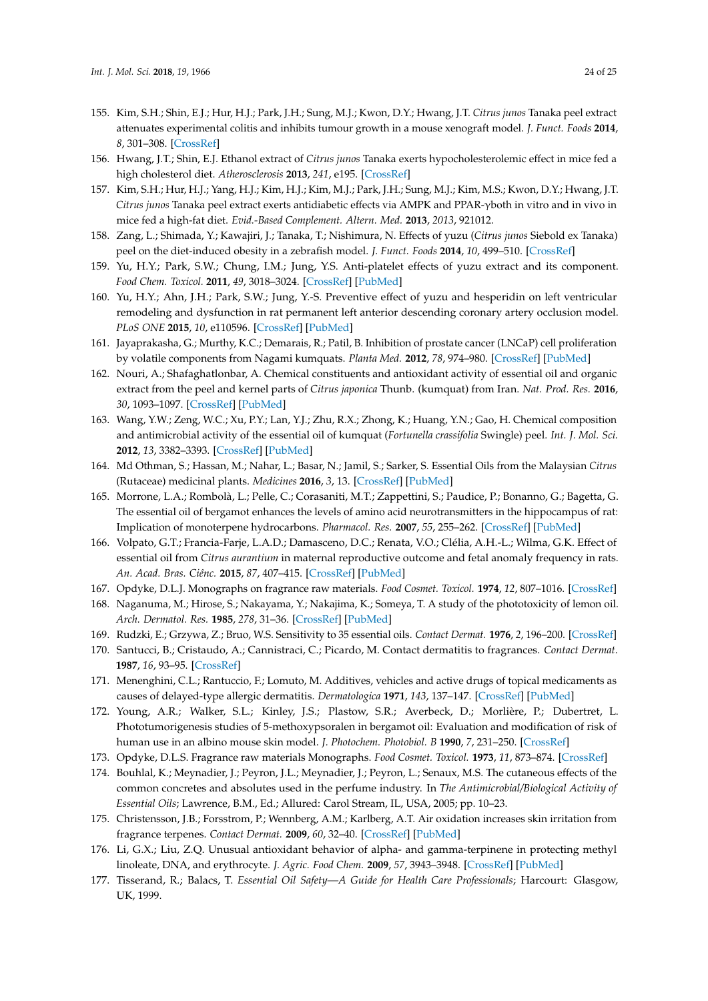- <span id="page-23-0"></span>155. Kim, S.H.; Shin, E.J.; Hur, H.J.; Park, J.H.; Sung, M.J.; Kwon, D.Y.; Hwang, J.T. *Citrus junos* Tanaka peel extract attenuates experimental colitis and inhibits tumour growth in a mouse xenograft model. *J. Funct. Foods* **2014**, *8*, 301–308. [\[CrossRef\]](http://dx.doi.org/10.1016/j.jff.2014.03.024)
- <span id="page-23-1"></span>156. Hwang, J.T.; Shin, E.J. Ethanol extract of *Citrus junos* Tanaka exerts hypocholesterolemic effect in mice fed a high cholesterol diet. *Atherosclerosis* **2013**, *241*, e195. [\[CrossRef\]](http://dx.doi.org/10.1016/j.atherosclerosis.2015.04.948)
- <span id="page-23-2"></span>157. Kim, S.H.; Hur, H.J.; Yang, H.J.; Kim, H.J.; Kim, M.J.; Park, J.H.; Sung, M.J.; Kim, M.S.; Kwon, D.Y.; Hwang, J.T. *Citrus junos* Tanaka peel extract exerts antidiabetic effects via AMPK and PPAR-γboth in vitro and in vivo in mice fed a high-fat diet. *Evid.-Based Complement. Altern. Med.* **2013**, *2013*, 921012.
- <span id="page-23-3"></span>158. Zang, L.; Shimada, Y.; Kawajiri, J.; Tanaka, T.; Nishimura, N. Effects of yuzu (*Citrus junos* Siebold ex Tanaka) peel on the diet-induced obesity in a zebrafish model. *J. Funct. Foods* **2014**, *10*, 499–510. [\[CrossRef\]](http://dx.doi.org/10.1016/j.jff.2014.08.002)
- <span id="page-23-4"></span>159. Yu, H.Y.; Park, S.W.; Chung, I.M.; Jung, Y.S. Anti-platelet effects of yuzu extract and its component. *Food Chem. Toxicol.* **2011**, *49*, 3018–3024. [\[CrossRef\]](http://dx.doi.org/10.1016/j.fct.2011.09.038) [\[PubMed\]](http://www.ncbi.nlm.nih.gov/pubmed/22005257)
- <span id="page-23-5"></span>160. Yu, H.Y.; Ahn, J.H.; Park, S.W.; Jung, Y.-S. Preventive effect of yuzu and hesperidin on left ventricular remodeling and dysfunction in rat permanent left anterior descending coronary artery occlusion model. *PLoS ONE* **2015**, *10*, e110596. [\[CrossRef\]](http://dx.doi.org/10.1371/journal.pone.0110596) [\[PubMed\]](http://www.ncbi.nlm.nih.gov/pubmed/25559243)
- <span id="page-23-6"></span>161. Jayaprakasha, G.; Murthy, K.C.; Demarais, R.; Patil, B. Inhibition of prostate cancer (LNCaP) cell proliferation by volatile components from Nagami kumquats. *Planta Med.* **2012**, *78*, 974–980. [\[CrossRef\]](http://dx.doi.org/10.1055/s-0031-1298619) [\[PubMed\]](http://www.ncbi.nlm.nih.gov/pubmed/22673830)
- <span id="page-23-7"></span>162. Nouri, A.; Shafaghatlonbar, A. Chemical constituents and antioxidant activity of essential oil and organic extract from the peel and kernel parts of *Citrus japonica* Thunb. (kumquat) from Iran. *Nat. Prod. Res.* **2016**, *30*, 1093–1097. [\[CrossRef\]](http://dx.doi.org/10.1080/14786419.2015.1101692) [\[PubMed\]](http://www.ncbi.nlm.nih.gov/pubmed/26500054)
- <span id="page-23-8"></span>163. Wang, Y.W.; Zeng, W.C.; Xu, P.Y.; Lan, Y.J.; Zhu, R.X.; Zhong, K.; Huang, Y.N.; Gao, H. Chemical composition and antimicrobial activity of the essential oil of kumquat (*Fortunella crassifolia* Swingle) peel. *Int. J. Mol. Sci.* **2012**, *13*, 3382–3393. [\[CrossRef\]](http://dx.doi.org/10.3390/ijms13033382) [\[PubMed\]](http://www.ncbi.nlm.nih.gov/pubmed/22489157)
- <span id="page-23-9"></span>164. Md Othman, S.; Hassan, M.; Nahar, L.; Basar, N.; Jamil, S.; Sarker, S. Essential Oils from the Malaysian *Citrus* (Rutaceae) medicinal plants. *Medicines* **2016**, *3*, 13. [\[CrossRef\]](http://dx.doi.org/10.3390/medicines3020013) [\[PubMed\]](http://www.ncbi.nlm.nih.gov/pubmed/28930124)
- <span id="page-23-10"></span>165. Morrone, L.A.; Rombolà, L.; Pelle, C.; Corasaniti, M.T.; Zappettini, S.; Paudice, P.; Bonanno, G.; Bagetta, G. The essential oil of bergamot enhances the levels of amino acid neurotransmitters in the hippocampus of rat: Implication of monoterpene hydrocarbons. *Pharmacol. Res.* **2007**, *55*, 255–262. [\[CrossRef\]](http://dx.doi.org/10.1016/j.phrs.2006.11.010) [\[PubMed\]](http://www.ncbi.nlm.nih.gov/pubmed/17196823)
- <span id="page-23-11"></span>166. Volpato, G.T.; Francia-Farje, L.A.D.; Damasceno, D.C.; Renata, V.O.; Clélia, A.H.-L.; Wilma, G.K. Effect of essential oil from *Citrus aurantium* in maternal reproductive outcome and fetal anomaly frequency in rats. *An. Acad. Bras. Ciênc.* **2015**, *87*, 407–415. [\[CrossRef\]](http://dx.doi.org/10.1590/0001-3765201520140354) [\[PubMed\]](http://www.ncbi.nlm.nih.gov/pubmed/25806990)
- <span id="page-23-12"></span>167. Opdyke, D.L.J. Monographs on fragrance raw materials. *Food Cosmet. Toxicol.* **1974**, *12*, 807–1016. [\[CrossRef\]](http://dx.doi.org/10.1016/0015-6264(74)90013-3)
- <span id="page-23-13"></span>168. Naganuma, M.; Hirose, S.; Nakayama, Y.; Nakajima, K.; Someya, T. A study of the phototoxicity of lemon oil. *Arch. Dermatol. Res.* **1985**, *278*, 31–36. [\[CrossRef\]](http://dx.doi.org/10.1007/BF00412492) [\[PubMed\]](http://www.ncbi.nlm.nih.gov/pubmed/4096528)
- <span id="page-23-14"></span>169. Rudzki, E.; Grzywa, Z.; Bruo, W.S. Sensitivity to 35 essential oils. *Contact Dermat.* **1976**, *2*, 196–200. [\[CrossRef\]](http://dx.doi.org/10.1111/j.1600-0536.1976.tb03026.x)
- <span id="page-23-15"></span>170. Santucci, B.; Cristaudo, A.; Cannistraci, C.; Picardo, M. Contact dermatitis to fragrances. *Contact Dermat.* **1987**, *16*, 93–95. [\[CrossRef\]](http://dx.doi.org/10.1111/j.1600-0536.1987.tb01386.x)
- <span id="page-23-16"></span>171. Menenghini, C.L.; Rantuccio, F.; Lomuto, M. Additives, vehicles and active drugs of topical medicaments as causes of delayed-type allergic dermatitis. *Dermatologica* **1971**, *143*, 137–147. [\[CrossRef\]](http://dx.doi.org/10.1159/000252183) [\[PubMed\]](http://www.ncbi.nlm.nih.gov/pubmed/4257060)
- <span id="page-23-17"></span>172. Young, A.R.; Walker, S.L.; Kinley, J.S.; Plastow, S.R.; Averbeck, D.; Morlière, P.; Dubertret, L. Phototumorigenesis studies of 5-methoxypsoralen in bergamot oil: Evaluation and modification of risk of human use in an albino mouse skin model. *J. Photochem. Photobiol. B* **1990**, *7*, 231–250. [\[CrossRef\]](http://dx.doi.org/10.1016/1011-1344(90)85159-T)
- <span id="page-23-19"></span><span id="page-23-18"></span>173. Opdyke, D.L.S. Fragrance raw materials Monographs. *Food Cosmet. Toxicol.* **1973**, *11*, 873–874. [\[CrossRef\]](http://dx.doi.org/10.1016/0015-6264(73)90154-5)
- 174. Bouhlal, K.; Meynadier, J.; Peyron, J.L.; Meynadier, J.; Peyron, L.; Senaux, M.S. The cutaneous effects of the common concretes and absolutes used in the perfume industry. In *The Antimicrobial/Biological Activity of Essential Oils*; Lawrence, B.M., Ed.; Allured: Carol Stream, IL, USA, 2005; pp. 10–23.
- <span id="page-23-20"></span>175. Christensson, J.B.; Forsstrom, P.; Wennberg, A.M.; Karlberg, A.T. Air oxidation increases skin irritation from fragrance terpenes. *Contact Dermat.* **2009**, *60*, 32–40. [\[CrossRef\]](http://dx.doi.org/10.1111/j.1600-0536.2008.01471.x) [\[PubMed\]](http://www.ncbi.nlm.nih.gov/pubmed/19125719)
- <span id="page-23-21"></span>176. Li, G.X.; Liu, Z.Q. Unusual antioxidant behavior of alpha- and gamma-terpinene in protecting methyl linoleate, DNA, and erythrocyte. *J. Agric. Food Chem.* **2009**, *57*, 3943–3948. [\[CrossRef\]](http://dx.doi.org/10.1021/jf803358g) [\[PubMed\]](http://www.ncbi.nlm.nih.gov/pubmed/19326866)
- <span id="page-23-22"></span>177. Tisserand, R.; Balacs, T. *Essential Oil Safety—A Guide for Health Care Professionals*; Harcourt: Glasgow, UK, 1999.